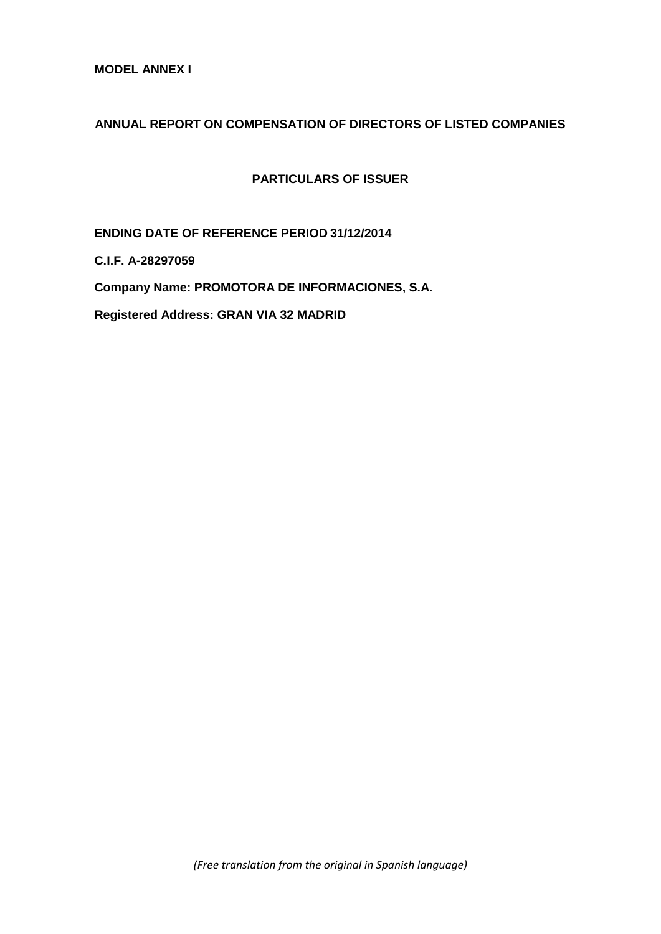**MODEL ANNEX I** 

# **ANNUAL REPORT ON COMPENSATION OF DIRECTORS OF LISTED COMPANIES**

**PARTICULARS OF ISSUER**

**ENDING DATE OF REFERENCE PERIOD 31/12/2014**

**C.I.F. A-28297059**

**Company Name: PROMOTORA DE INFORMACIONES, S.A.**

**Registered Address: GRAN VIA 32 MADRID**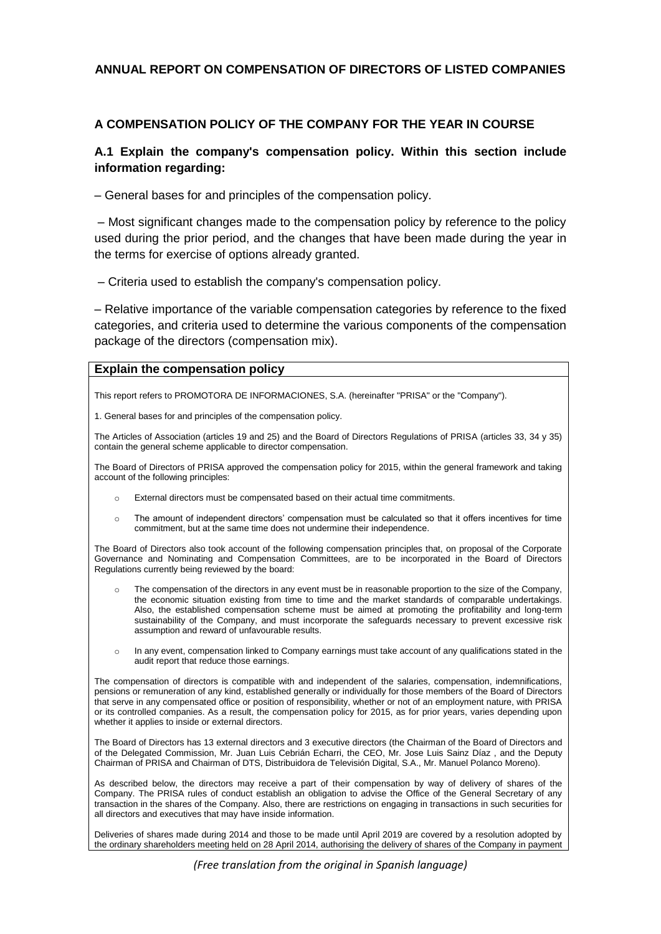### **ANNUAL REPORT ON COMPENSATION OF DIRECTORS OF LISTED COMPANIES**

### **A COMPENSATION POLICY OF THE COMPANY FOR THE YEAR IN COURSE**

### **A.1 Explain the company's compensation policy. Within this section include information regarding:**

– General bases for and principles of the compensation policy.

– Most significant changes made to the compensation policy by reference to the policy used during the prior period, and the changes that have been made during the year in the terms for exercise of options already granted.

– Criteria used to establish the company's compensation policy.

– Relative importance of the variable compensation categories by reference to the fixed categories, and criteria used to determine the various components of the compensation package of the directors (compensation mix).

#### **Explain the compensation policy**

This report refers to PROMOTORA DE INFORMACIONES, S.A. (hereinafter "PRISA" or the "Company").

1. General bases for and principles of the compensation policy.

The Articles of Association (articles 19 and 25) and the Board of Directors Regulations of PRISA (articles 33, 34 y 35) contain the general scheme applicable to director compensation.

The Board of Directors of PRISA approved the compensation policy for 2015, within the general framework and taking account of the following principles:

- External directors must be compensated based on their actual time commitments.
- o The amount of independent directors' compensation must be calculated so that it offers incentives for time commitment, but at the same time does not undermine their independence.

The Board of Directors also took account of the following compensation principles that, on proposal of the Corporate Governance and Nominating and Compensation Committees, are to be incorporated in the Board of Directors Regulations currently being reviewed by the board:

- The compensation of the directors in any event must be in reasonable proportion to the size of the Company, the economic situation existing from time to time and the market standards of comparable undertakings. Also, the established compensation scheme must be aimed at promoting the profitability and long-term sustainability of the Company, and must incorporate the safeguards necessary to prevent excessive risk assumption and reward of unfavourable results.
- o In any event, compensation linked to Company earnings must take account of any qualifications stated in the audit report that reduce those earnings.

The compensation of directors is compatible with and independent of the salaries, compensation, indemnifications, pensions or remuneration of any kind, established generally or individually for those members of the Board of Directors that serve in any compensated office or position of responsibility, whether or not of an employment nature, with PRISA or its controlled companies. As a result, the compensation policy for 2015, as for prior years, varies depending upon whether it applies to inside or external directors.

The Board of Directors has 13 external directors and 3 executive directors (the Chairman of the Board of Directors and of the Delegated Commission, Mr. Juan Luis Cebrián Echarri, the CEO, Mr. Jose Luis Sainz Díaz , and the Deputy Chairman of PRISA and Chairman of DTS, Distribuidora de Televisión Digital, S.A., Mr. Manuel Polanco Moreno).

As described below, the directors may receive a part of their compensation by way of delivery of shares of the Company. The PRISA rules of conduct establish an obligation to advise the Office of the General Secretary of any transaction in the shares of the Company. Also, there are restrictions on engaging in transactions in such securities for all directors and executives that may have inside information.

Deliveries of shares made during 2014 and those to be made until April 2019 are covered by a resolution adopted by the ordinary shareholders meeting held on 28 April 2014, authorising the delivery of shares of the Company in payment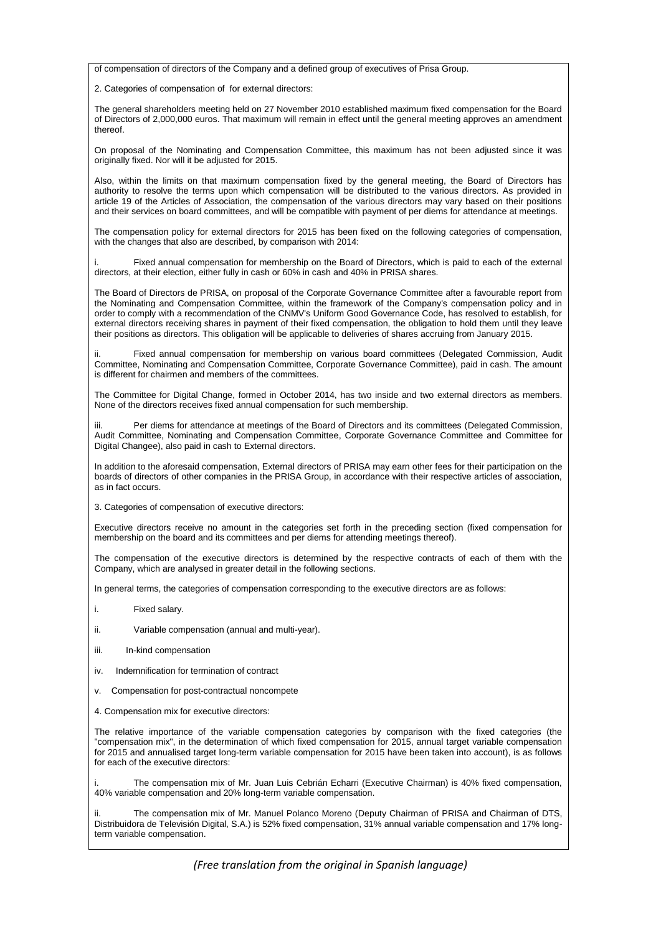of compensation of directors of the Company and a defined group of executives of Prisa Group.

2. Categories of compensation of for external directors:

The general shareholders meeting held on 27 November 2010 established maximum fixed compensation for the Board of Directors of 2,000,000 euros. That maximum will remain in effect until the general meeting approves an amendment thereof.

On proposal of the Nominating and Compensation Committee, this maximum has not been adjusted since it was originally fixed. Nor will it be adjusted for 2015.

Also, within the limits on that maximum compensation fixed by the general meeting, the Board of Directors has authority to resolve the terms upon which compensation will be distributed to the various directors. As provided in article 19 of the Articles of Association, the compensation of the various directors may vary based on their positions and their services on board committees, and will be compatible with payment of per diems for attendance at meetings.

The compensation policy for external directors for 2015 has been fixed on the following categories of compensation, with the changes that also are described, by comparison with 2014:

i. Fixed annual compensation for membership on the Board of Directors, which is paid to each of the external directors, at their election, either fully in cash or 60% in cash and 40% in PRISA shares.

The Board of Directors de PRISA, on proposal of the Corporate Governance Committee after a favourable report from the Nominating and Compensation Committee, within the framework of the Company's compensation policy and in order to comply with a recommendation of the CNMV's Uniform Good Governance Code, has resolved to establish, for external directors receiving shares in payment of their fixed compensation, the obligation to hold them until they leave their positions as directors. This obligation will be applicable to deliveries of shares accruing from January 2015.

Fixed annual compensation for membership on various board committees (Delegated Commission, Audit Committee, Nominating and Compensation Committee, Corporate Governance Committee), paid in cash. The amount is different for chairmen and members of the committees.

The Committee for Digital Change, formed in October 2014, has two inside and two external directors as members. None of the directors receives fixed annual compensation for such membership.

Per diems for attendance at meetings of the Board of Directors and its committees (Delegated Commission, Audit Committee, Nominating and Compensation Committee, Corporate Governance Committee and Committee for Digital Changee), also paid in cash to External directors.

In addition to the aforesaid compensation, External directors of PRISA may earn other fees for their participation on the boards of directors of other companies in the PRISA Group, in accordance with their respective articles of association, as in fact occurs.

3. Categories of compensation of executive directors:

Executive directors receive no amount in the categories set forth in the preceding section (fixed compensation for membership on the board and its committees and per diems for attending meetings thereof).

The compensation of the executive directors is determined by the respective contracts of each of them with the Company, which are analysed in greater detail in the following sections.

In general terms, the categories of compensation corresponding to the executive directors are as follows:

- i. Fixed salary.
- ii. Variable compensation (annual and multi-year).
- iii. In-kind compensation
- iv. Indemnification for termination of contract
- v. Compensation for post-contractual noncompete
- 4. Compensation mix for executive directors:

The relative importance of the variable compensation categories by comparison with the fixed categories (the "compensation mix", in the determination of which fixed compensation for 2015, annual target variable compensation for 2015 and annualised target long-term variable compensation for 2015 have been taken into account), is as follows for each of the executive directors:

The compensation mix of Mr. Juan Luis Cebrián Echarri (Executive Chairman) is 40% fixed compensation, 40% variable compensation and 20% long-term variable compensation.

The compensation mix of Mr. Manuel Polanco Moreno (Deputy Chairman of PRISA and Chairman of DTS, Distribuidora de Televisión Digital, S.A.) is 52% fixed compensation, 31% annual variable compensation and 17% longterm variable compensation.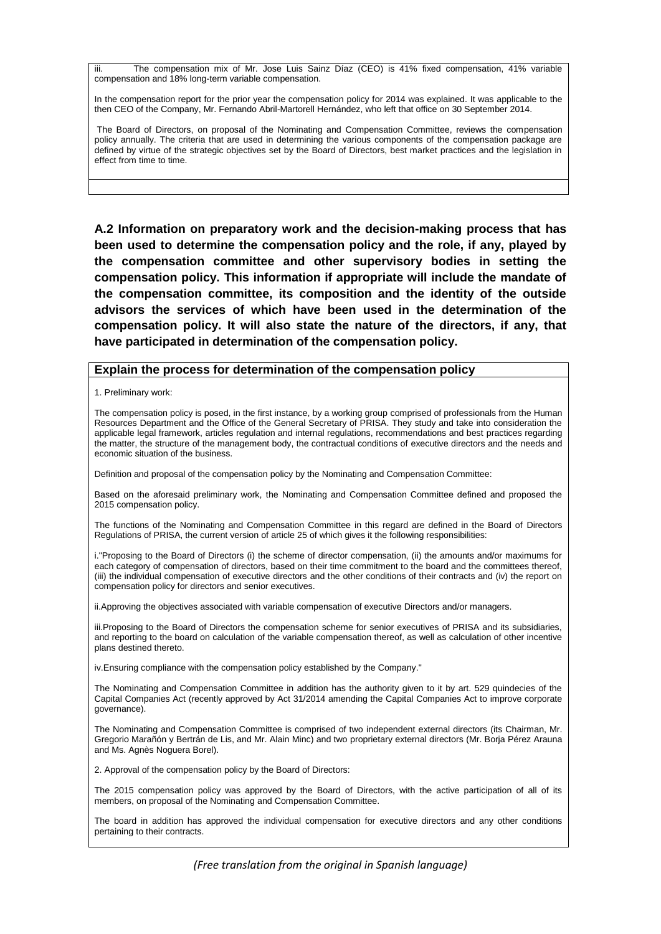iii. The compensation mix of Mr. Jose Luis Sainz Díaz (CEO) is 41% fixed compensation, 41% variable compensation and 18% long-term variable compensation.

In the compensation report for the prior year the compensation policy for 2014 was explained. It was applicable to the then CEO of the Company, Mr. Fernando Abril-Martorell Hernández, who left that office on 30 September 2014.

The Board of Directors, on proposal of the Nominating and Compensation Committee, reviews the compensation policy annually. The criteria that are used in determining the various components of the compensation package are defined by virtue of the strategic objectives set by the Board of Directors, best market practices and the legislation in effect from time to time.

**A.2 Information on preparatory work and the decision-making process that has been used to determine the compensation policy and the role, if any, played by the compensation committee and other supervisory bodies in setting the compensation policy. This information if appropriate will include the mandate of the compensation committee, its composition and the identity of the outside advisors the services of which have been used in the determination of the compensation policy. It will also state the nature of the directors, if any, that have participated in determination of the compensation policy.** 

#### **Explain the process for determination of the compensation policy**

1. Preliminary work:

The compensation policy is posed, in the first instance, by a working group comprised of professionals from the Human Resources Department and the Office of the General Secretary of PRISA. They study and take into consideration the applicable legal framework, articles regulation and internal regulations, recommendations and best practices regarding the matter, the structure of the management body, the contractual conditions of executive directors and the needs and economic situation of the business.

Definition and proposal of the compensation policy by the Nominating and Compensation Committee:

Based on the aforesaid preliminary work, the Nominating and Compensation Committee defined and proposed the 2015 compensation policy.

The functions of the Nominating and Compensation Committee in this regard are defined in the Board of Directors Regulations of PRISA, the current version of article 25 of which gives it the following responsibilities:

i."Proposing to the Board of Directors (i) the scheme of director compensation, (ii) the amounts and/or maximums for each category of compensation of directors, based on their time commitment to the board and the committees thereof, (iii) the individual compensation of executive directors and the other conditions of their contracts and (iv) the report on compensation policy for directors and senior executives.

ii.Approving the objectives associated with variable compensation of executive Directors and/or managers.

iii.Proposing to the Board of Directors the compensation scheme for senior executives of PRISA and its subsidiaries, and reporting to the board on calculation of the variable compensation thereof, as well as calculation of other incentive plans destined thereto.

iv.Ensuring compliance with the compensation policy established by the Company."

The Nominating and Compensation Committee in addition has the authority given to it by art. 529 quindecies of the Capital Companies Act (recently approved by Act 31/2014 amending the Capital Companies Act to improve corporate governance).

The Nominating and Compensation Committee is comprised of two independent external directors (its Chairman, Mr. Gregorio Marañón y Bertrán de Lis, and Mr. Alain Minc) and two proprietary external directors (Mr. Borja Pérez Arauna and Ms. Agnès Noguera Borel).

2. Approval of the compensation policy by the Board of Directors:

The 2015 compensation policy was approved by the Board of Directors, with the active participation of all of its members, on proposal of the Nominating and Compensation Committee.

The board in addition has approved the individual compensation for executive directors and any other conditions pertaining to their contracts.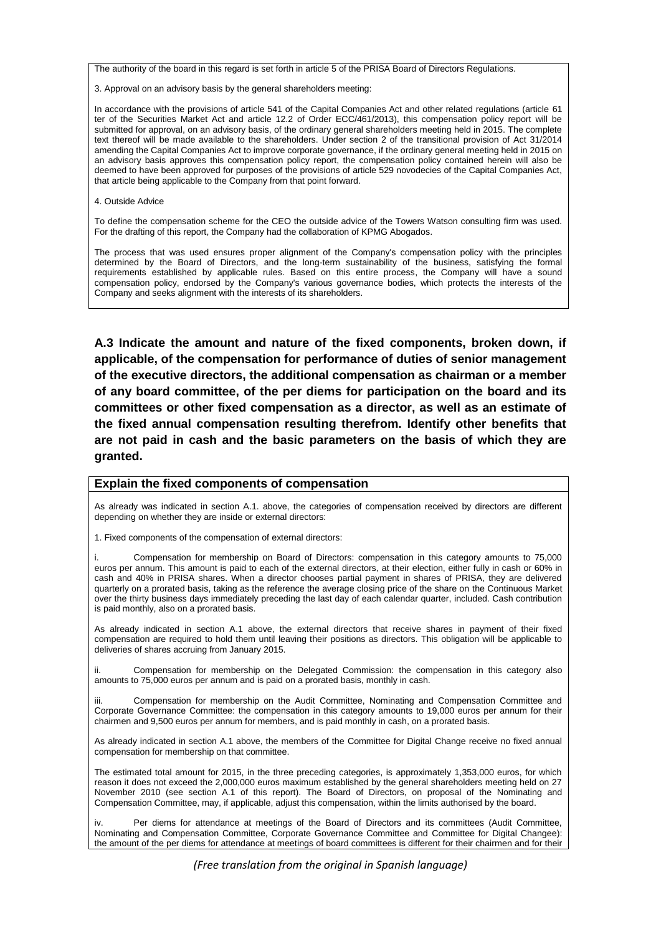The authority of the board in this regard is set forth in article 5 of the PRISA Board of Directors Regulations.

3. Approval on an advisory basis by the general shareholders meeting:

In accordance with the provisions of article 541 of the Capital Companies Act and other related regulations (article 61 ter of the Securities Market Act and article 12.2 of Order ECC/461/2013), this compensation policy report will be submitted for approval, on an advisory basis, of the ordinary general shareholders meeting held in 2015. The complete text thereof will be made available to the shareholders. Under section 2 of the transitional provision of Act 31/2014 amending the Capital Companies Act to improve corporate governance, if the ordinary general meeting held in 2015 on an advisory basis approves this compensation policy report, the compensation policy contained herein will also be deemed to have been approved for purposes of the provisions of article 529 novodecies of the Capital Companies Act, that article being applicable to the Company from that point forward.

4. Outside Advice

To define the compensation scheme for the CEO the outside advice of the Towers Watson consulting firm was used. For the drafting of this report, the Company had the collaboration of KPMG Abogados.

The process that was used ensures proper alignment of the Company's compensation policy with the principles determined by the Board of Directors, and the long-term sustainability of the business, satisfying the formal requirements established by applicable rules. Based on this entire process, the Company will have a sound compensation policy, endorsed by the Company's various governance bodies, which protects the interests of the Company and seeks alignment with the interests of its shareholders.

**A.3 Indicate the amount and nature of the fixed components, broken down, if applicable, of the compensation for performance of duties of senior management of the executive directors, the additional compensation as chairman or a member of any board committee, of the per diems for participation on the board and its committees or other fixed compensation as a director, as well as an estimate of the fixed annual compensation resulting therefrom. Identify other benefits that are not paid in cash and the basic parameters on the basis of which they are granted.** 

#### **Explain the fixed components of compensation**

As already was indicated in section A.1. above, the categories of compensation received by directors are different depending on whether they are inside or external directors:

1. Fixed components of the compensation of external directors:

i. Compensation for membership on Board of Directors: compensation in this category amounts to 75,000 euros per annum. This amount is paid to each of the external directors, at their election, either fully in cash or 60% in cash and 40% in PRISA shares. When a director chooses partial payment in shares of PRISA, they are delivered quarterly on a prorated basis, taking as the reference the average closing price of the share on the Continuous Market over the thirty business days immediately preceding the last day of each calendar quarter, included. Cash contribution is paid monthly, also on a prorated basis.

As already indicated in section A.1 above, the external directors that receive shares in payment of their fixed compensation are required to hold them until leaving their positions as directors. This obligation will be applicable to deliveries of shares accruing from January 2015.

ii. Compensation for membership on the Delegated Commission: the compensation in this category also amounts to 75,000 euros per annum and is paid on a prorated basis, monthly in cash.

iii. Compensation for membership on the Audit Committee, Nominating and Compensation Committee and Corporate Governance Committee: the compensation in this category amounts to 19,000 euros per annum for their chairmen and 9,500 euros per annum for members, and is paid monthly in cash, on a prorated basis.

As already indicated in section A.1 above, the members of the Committee for Digital Change receive no fixed annual compensation for membership on that committee.

The estimated total amount for 2015, in the three preceding categories, is approximately 1,353,000 euros, for which reason it does not exceed the 2,000,000 euros maximum established by the general shareholders meeting held on 27 November 2010 (see section A.1 of this report). The Board of Directors, on proposal of the Nominating and Compensation Committee, may, if applicable, adjust this compensation, within the limits authorised by the board.

iv. Per diems for attendance at meetings of the Board of Directors and its committees (Audit Committee, Nominating and Compensation Committee, Corporate Governance Committee and Committee for Digital Changee): the amount of the per diems for attendance at meetings of board committees is different for their chairmen and for their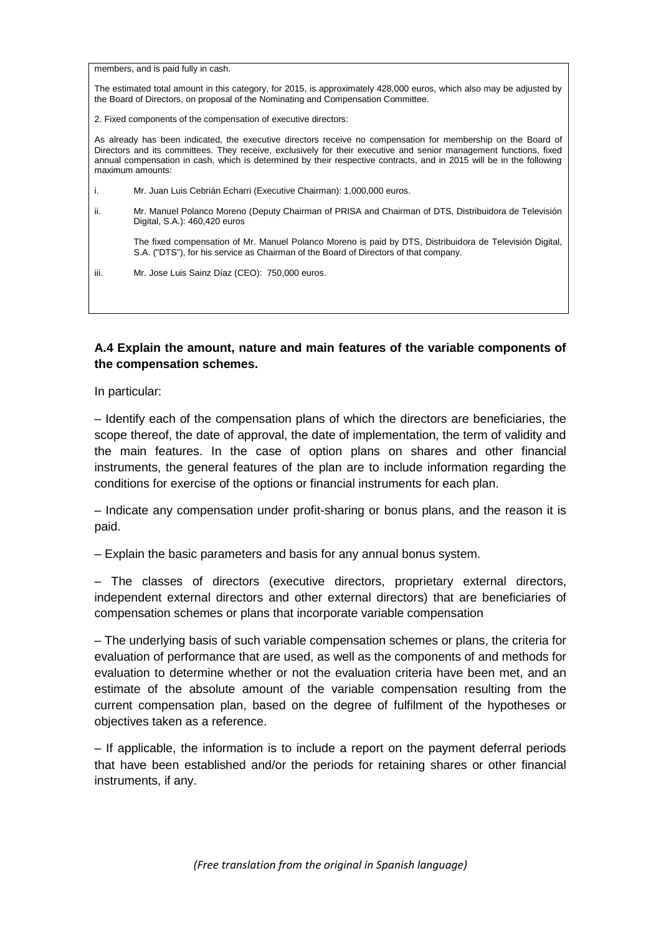members, and is paid fully in cash.

The estimated total amount in this category, for 2015, is approximately 428,000 euros, which also may be adjusted by the Board of Directors, on proposal of the Nominating and Compensation Committee.

2. Fixed components of the compensation of executive directors:

As already has been indicated, the executive directors receive no compensation for membership on the Board of Directors and its committees. They receive, exclusively for their executive and senior management functions, fixed annual compensation in cash, which is determined by their respective contracts, and in 2015 will be in the following maximum amounts:

i. Mr. Juan Luis Cebrián Echarri (Executive Chairman): 1,000,000 euros.

ii. Mr. Manuel Polanco Moreno (Deputy Chairman of PRISA and Chairman of DTS, Distribuidora de Televisión Digital, S.A.): 460,420 euros

The fixed compensation of Mr. Manuel Polanco Moreno is paid by DTS, Distribuidora de Televisión Digital, S.A. ("DTS"), for his service as Chairman of the Board of Directors of that company.

iii. Mr. Jose Luis Sainz Díaz (CEO): 750,000 euros.

### **A.4 Explain the amount, nature and main features of the variable components of the compensation schemes.**

In particular:

– Identify each of the compensation plans of which the directors are beneficiaries, the scope thereof, the date of approval, the date of implementation, the term of validity and the main features. In the case of option plans on shares and other financial instruments, the general features of the plan are to include information regarding the conditions for exercise of the options or financial instruments for each plan.

– Indicate any compensation under profit-sharing or bonus plans, and the reason it is paid.

– Explain the basic parameters and basis for any annual bonus system.

– The classes of directors (executive directors, proprietary external directors, independent external directors and other external directors) that are beneficiaries of compensation schemes or plans that incorporate variable compensation

– The underlying basis of such variable compensation schemes or plans, the criteria for evaluation of performance that are used, as well as the components of and methods for evaluation to determine whether or not the evaluation criteria have been met, and an estimate of the absolute amount of the variable compensation resulting from the current compensation plan, based on the degree of fulfilment of the hypotheses or objectives taken as a reference.

– If applicable, the information is to include a report on the payment deferral periods that have been established and/or the periods for retaining shares or other financial instruments, if any.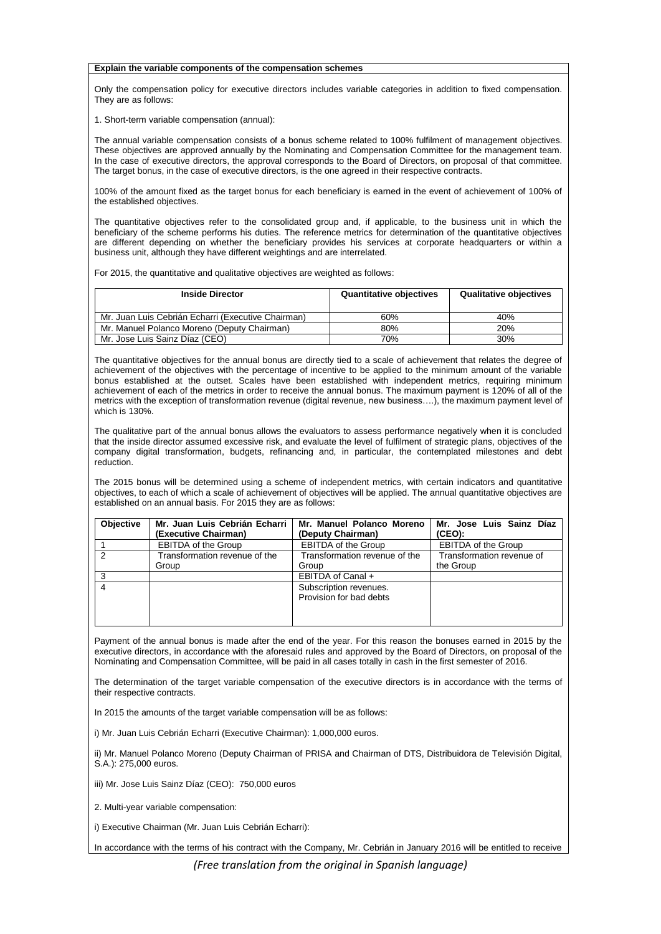#### **Explain the variable components of the compensation schemes**

Only the compensation policy for executive directors includes variable categories in addition to fixed compensation. They are as follows:

1. Short-term variable compensation (annual):

The annual variable compensation consists of a bonus scheme related to 100% fulfilment of management objectives. These objectives are approved annually by the Nominating and Compensation Committee for the management team. In the case of executive directors, the approval corresponds to the Board of Directors, on proposal of that committee. The target bonus, in the case of executive directors, is the one agreed in their respective contracts.

100% of the amount fixed as the target bonus for each beneficiary is earned in the event of achievement of 100% of the established objectives.

The quantitative objectives refer to the consolidated group and, if applicable, to the business unit in which the beneficiary of the scheme performs his duties. The reference metrics for determination of the quantitative objectives are different depending on whether the beneficiary provides his services at corporate headquarters or within a business unit, although they have different weightings and are interrelated.

For 2015, the quantitative and qualitative objectives are weighted as follows:

| <b>Inside Director</b>                             | <b>Quantitative objectives</b> | <b>Qualitative objectives</b> |
|----------------------------------------------------|--------------------------------|-------------------------------|
| Mr. Juan Luis Cebrián Echarri (Executive Chairman) | 60%                            | 40%                           |
| Mr. Manuel Polanco Moreno (Deputy Chairman)        | 80%                            | 20%                           |
| Mr. Jose Luis Sainz Díaz (CEO)                     | 70%                            | 30%                           |

The quantitative objectives for the annual bonus are directly tied to a scale of achievement that relates the degree of achievement of the objectives with the percentage of incentive to be applied to the minimum amount of the variable bonus established at the outset. Scales have been established with independent metrics, requiring minimum achievement of each of the metrics in order to receive the annual bonus. The maximum payment is 120% of all of the metrics with the exception of transformation revenue (digital revenue, new business….), the maximum payment level of which is 130%.

The qualitative part of the annual bonus allows the evaluators to assess performance negatively when it is concluded that the inside director assumed excessive risk, and evaluate the level of fulfilment of strategic plans, objectives of the company digital transformation, budgets, refinancing and, in particular, the contemplated milestones and debt reduction.

The 2015 bonus will be determined using a scheme of independent metrics, with certain indicators and quantitative objectives, to each of which a scale of achievement of objectives will be applied. The annual quantitative objectives are established on an annual basis. For 2015 they are as follows:

| <b>Objective</b> | Mr. Juan Luis Cebrián Echarri I<br>(Executive Chairman) | Mr. Manuel Polanco Moreno<br>(Deputy Chairman)    | Mr. Jose Luis Sainz Díaz<br>(CEO):     |
|------------------|---------------------------------------------------------|---------------------------------------------------|----------------------------------------|
|                  | <b>EBITDA of the Group</b>                              | <b>EBITDA of the Group</b>                        | <b>EBITDA of the Group</b>             |
| $\mathcal{P}$    | Transformation revenue of the<br>Group                  | Transformation revenue of the<br>Group            | Transformation revenue of<br>the Group |
|                  |                                                         | EBITDA of Canal +                                 |                                        |
|                  |                                                         | Subscription revenues.<br>Provision for bad debts |                                        |

Payment of the annual bonus is made after the end of the year. For this reason the bonuses earned in 2015 by the executive directors, in accordance with the aforesaid rules and approved by the Board of Directors, on proposal of the Nominating and Compensation Committee, will be paid in all cases totally in cash in the first semester of 2016.

The determination of the target variable compensation of the executive directors is in accordance with the terms of their respective contracts.

In 2015 the amounts of the target variable compensation will be as follows:

i) Mr. Juan Luis Cebrián Echarri (Executive Chairman): 1,000,000 euros.

ii) Mr. Manuel Polanco Moreno (Deputy Chairman of PRISA and Chairman of DTS, Distribuidora de Televisión Digital,  $S$  A  $\cdot$  275,000 euros.

iii) Mr. Jose Luis Sainz Díaz (CEO): 750,000 euros

2. Multi-year variable compensation:

i) Executive Chairman (Mr. Juan Luis Cebrián Echarri):

In accordance with the terms of his contract with the Company, Mr. Cebrián in January 2016 will be entitled to receive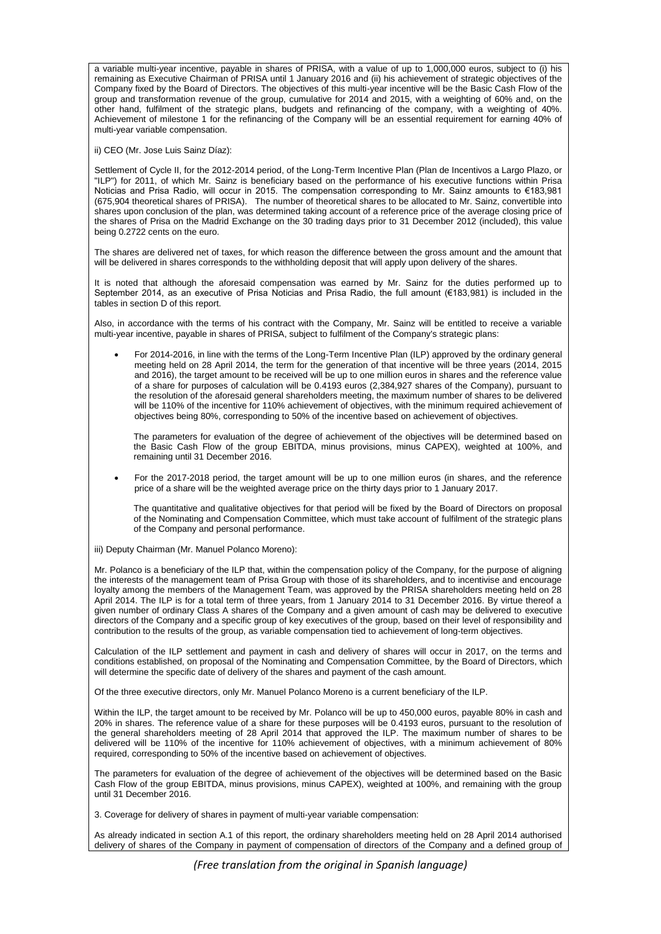a variable multi-year incentive, payable in shares of PRISA, with a value of up to 1,000,000 euros, subject to (i) his remaining as Executive Chairman of PRISA until 1 January 2016 and (ii) his achievement of strategic objectives of the Company fixed by the Board of Directors. The objectives of this multi-year incentive will be the Basic Cash Flow of the group and transformation revenue of the group, cumulative for 2014 and 2015, with a weighting of 60% and, on the other hand, fulfilment of the strategic plans, budgets and refinancing of the company, with a weighting of 40%. Achievement of milestone 1 for the refinancing of the Company will be an essential requirement for earning 40% of multi-year variable compensation.

ii) CEO (Mr. Jose Luis Sainz Díaz):

Settlement of Cycle II, for the 2012-2014 period, of the Long-Term Incentive Plan (Plan de Incentivos a Largo Plazo, or "ILP") for 2011, of which Mr. Sainz is beneficiary based on the performance of his executive functions within Prisa Noticias and Prisa Radio, will occur in 2015. The compensation corresponding to Mr. Sainz amounts to €183,981 (675,904 theoretical shares of PRISA). The number of theoretical shares to be allocated to Mr. Sainz, convertible into shares upon conclusion of the plan, was determined taking account of a reference price of the average closing price of the shares of Prisa on the Madrid Exchange on the 30 trading days prior to 31 December 2012 (included), this value being 0.2722 cents on the euro.

The shares are delivered net of taxes, for which reason the difference between the gross amount and the amount that will be delivered in shares corresponds to the withholding deposit that will apply upon delivery of the shares.

It is noted that although the aforesaid compensation was earned by Mr. Sainz for the duties performed up to September 2014, as an executive of Prisa Noticias and Prisa Radio, the full amount (€183,981) is included in the tables in section D of this report.

Also, in accordance with the terms of his contract with the Company, Mr. Sainz will be entitled to receive a variable multi-year incentive, payable in shares of PRISA, subject to fulfilment of the Company's strategic plans:

 For 2014-2016, in line with the terms of the Long-Term Incentive Plan (ILP) approved by the ordinary general meeting held on 28 April 2014, the term for the generation of that incentive will be three years (2014, 2015 and 2016), the target amount to be received will be up to one million euros in shares and the reference value of a share for purposes of calculation will be 0.4193 euros (2,384,927 shares of the Company), pursuant to the resolution of the aforesaid general shareholders meeting, the maximum number of shares to be delivered will be 110% of the incentive for 110% achievement of objectives, with the minimum required achievement of objectives being 80%, corresponding to 50% of the incentive based on achievement of objectives.

The parameters for evaluation of the degree of achievement of the objectives will be determined based on the Basic Cash Flow of the group EBITDA, minus provisions, minus CAPEX), weighted at 100%, and remaining until 31 December 2016.

 For the 2017-2018 period, the target amount will be up to one million euros (in shares, and the reference price of a share will be the weighted average price on the thirty days prior to 1 January 2017.

The quantitative and qualitative objectives for that period will be fixed by the Board of Directors on proposal of the Nominating and Compensation Committee, which must take account of fulfilment of the strategic plans of the Company and personal performance.

iii) Deputy Chairman (Mr. Manuel Polanco Moreno):

Mr. Polanco is a beneficiary of the ILP that, within the compensation policy of the Company, for the purpose of aligning the interests of the management team of Prisa Group with those of its shareholders, and to incentivise and encourage loyalty among the members of the Management Team, was approved by the PRISA shareholders meeting held on 28 April 2014. The ILP is for a total term of three years, from 1 January 2014 to 31 December 2016. By virtue thereof a given number of ordinary Class A shares of the Company and a given amount of cash may be delivered to executive directors of the Company and a specific group of key executives of the group, based on their level of responsibility and contribution to the results of the group, as variable compensation tied to achievement of long-term objectives.

Calculation of the ILP settlement and payment in cash and delivery of shares will occur in 2017, on the terms and conditions established, on proposal of the Nominating and Compensation Committee, by the Board of Directors, which will determine the specific date of delivery of the shares and payment of the cash amount.

Of the three executive directors, only Mr. Manuel Polanco Moreno is a current beneficiary of the ILP.

Within the ILP, the target amount to be received by Mr. Polanco will be up to 450,000 euros, payable 80% in cash and 20% in shares. The reference value of a share for these purposes will be 0.4193 euros, pursuant to the resolution of the general shareholders meeting of 28 April 2014 that approved the ILP. The maximum number of shares to be delivered will be 110% of the incentive for 110% achievement of objectives, with a minimum achievement of 80% required, corresponding to 50% of the incentive based on achievement of objectives.

The parameters for evaluation of the degree of achievement of the objectives will be determined based on the Basic Cash Flow of the group EBITDA, minus provisions, minus CAPEX), weighted at 100%, and remaining with the group until 31 December 2016.

3. Coverage for delivery of shares in payment of multi-year variable compensation:

As already indicated in section A.1 of this report, the ordinary shareholders meeting held on 28 April 2014 authorised delivery of shares of the Company in payment of compensation of directors of the Company and a defined group of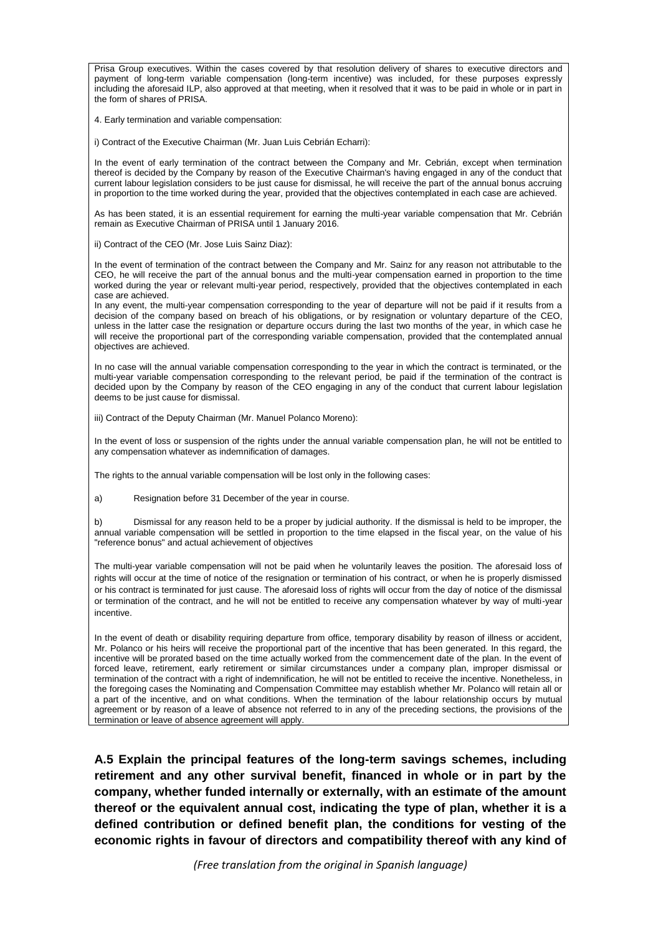Prisa Group executives. Within the cases covered by that resolution delivery of shares to executive directors and payment of long-term variable compensation (long-term incentive) was included, for these purposes expressly including the aforesaid ILP, also approved at that meeting, when it resolved that it was to be paid in whole or in part in the form of shares of PRISA.

4. Early termination and variable compensation:

i) Contract of the Executive Chairman (Mr. Juan Luis Cebrián Echarri):

In the event of early termination of the contract between the Company and Mr. Cebrián, except when termination thereof is decided by the Company by reason of the Executive Chairman's having engaged in any of the conduct that current labour legislation considers to be just cause for dismissal, he will receive the part of the annual bonus accruing in proportion to the time worked during the year, provided that the objectives contemplated in each case are achieved.

As has been stated, it is an essential requirement for earning the multi-year variable compensation that Mr. Cebrián remain as Executive Chairman of PRISA until 1 January 2016.

ii) Contract of the CEO (Mr. Jose Luis Sainz Diaz):

In the event of termination of the contract between the Company and Mr. Sainz for any reason not attributable to the CEO, he will receive the part of the annual bonus and the multi-year compensation earned in proportion to the time worked during the year or relevant multi-year period, respectively, provided that the objectives contemplated in each case are achieved.

In any event, the multi-year compensation corresponding to the year of departure will not be paid if it results from a decision of the company based on breach of his obligations, or by resignation or voluntary departure of the CEO, unless in the latter case the resignation or departure occurs during the last two months of the year, in which case he will receive the proportional part of the corresponding variable compensation, provided that the contemplated annual objectives are achieved.

In no case will the annual variable compensation corresponding to the year in which the contract is terminated, or the multi-year variable compensation corresponding to the relevant period, be paid if the termination of the contract is decided upon by the Company by reason of the CEO engaging in any of the conduct that current labour legislation deems to be just cause for dismissal.

iii) Contract of the Deputy Chairman (Mr. Manuel Polanco Moreno):

In the event of loss or suspension of the rights under the annual variable compensation plan, he will not be entitled to any compensation whatever as indemnification of damages.

The rights to the annual variable compensation will be lost only in the following cases:

a) Resignation before 31 December of the year in course.

b) Dismissal for any reason held to be a proper by judicial authority. If the dismissal is held to be improper, the annual variable compensation will be settled in proportion to the time elapsed in the fiscal year, on the value of his "reference bonus" and actual achievement of objectives

The multi-year variable compensation will not be paid when he voluntarily leaves the position. The aforesaid loss of rights will occur at the time of notice of the resignation or termination of his contract, or when he is properly dismissed or his contract is terminated for just cause. The aforesaid loss of rights will occur from the day of notice of the dismissal or termination of the contract, and he will not be entitled to receive any compensation whatever by way of multi-year incentive.

In the event of death or disability requiring departure from office, temporary disability by reason of illness or accident, Mr. Polanco or his heirs will receive the proportional part of the incentive that has been generated. In this regard, the incentive will be prorated based on the time actually worked from the commencement date of the plan. In the event of forced leave, retirement, early retirement or similar circumstances under a company plan, improper dismissal or termination of the contract with a right of indemnification, he will not be entitled to receive the incentive. Nonetheless, in the foregoing cases the Nominating and Compensation Committee may establish whether Mr. Polanco will retain all or a part of the incentive, and on what conditions. When the termination of the labour relationship occurs by mutual agreement or by reason of a leave of absence not referred to in any of the preceding sections, the provisions of the termination or leave of absence agreement will apply.

**A.5 Explain the principal features of the long-term savings schemes, including retirement and any other survival benefit, financed in whole or in part by the company, whether funded internally or externally, with an estimate of the amount thereof or the equivalent annual cost, indicating the type of plan, whether it is a defined contribution or defined benefit plan, the conditions for vesting of the economic rights in favour of directors and compatibility thereof with any kind of**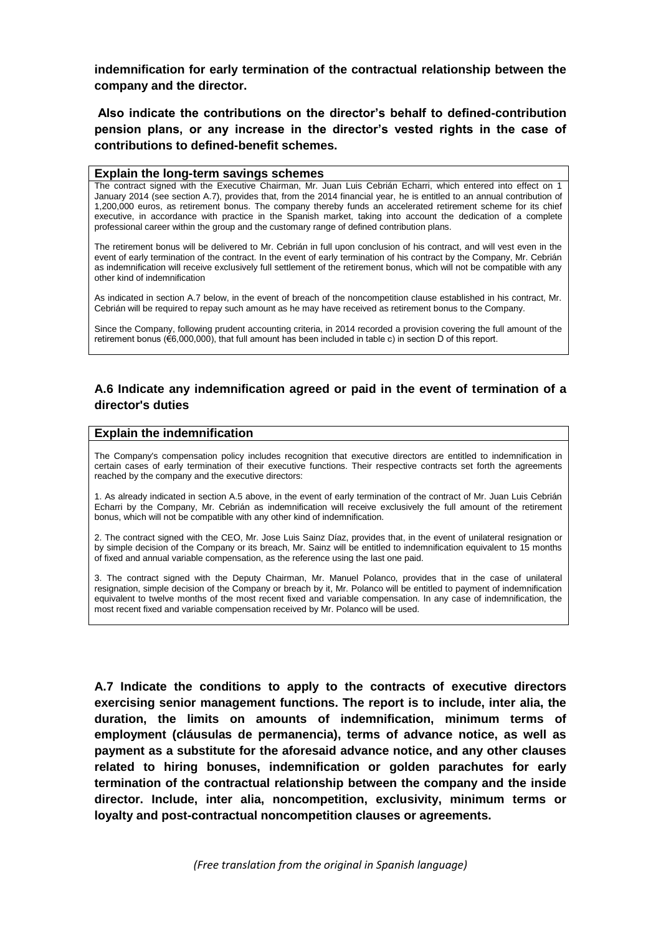**indemnification for early termination of the contractual relationship between the company and the director.**

**Also indicate the contributions on the director's behalf to defined-contribution pension plans, or any increase in the director's vested rights in the case of contributions to defined-benefit schemes.** 

#### **Explain the long-term savings schemes**

The contract signed with the Executive Chairman, Mr. Juan Luis Cebrián Echarri, which entered into effect on 1 January 2014 (see section A.7), provides that, from the 2014 financial year, he is entitled to an annual contribution of 1,200,000 euros, as retirement bonus. The company thereby funds an accelerated retirement scheme for its chief executive, in accordance with practice in the Spanish market, taking into account the dedication of a complete professional career within the group and the customary range of defined contribution plans.

The retirement bonus will be delivered to Mr. Cebrián in full upon conclusion of his contract, and will vest even in the event of early termination of the contract. In the event of early termination of his contract by the Company, Mr. Cebrián as indemnification will receive exclusively full settlement of the retirement bonus, which will not be compatible with any other kind of indemnification

As indicated in section A.7 below, in the event of breach of the noncompetition clause established in his contract, Mr. Cebrián will be required to repay such amount as he may have received as retirement bonus to the Company.

Since the Company, following prudent accounting criteria, in 2014 recorded a provision covering the full amount of the retirement bonus (€6,000,000), that full amount has been included in table c) in section D of this report.

### **A.6 Indicate any indemnification agreed or paid in the event of termination of a director's duties**

#### **Explain the indemnification**

The Company's compensation policy includes recognition that executive directors are entitled to indemnification in certain cases of early termination of their executive functions. Their respective contracts set forth the agreements reached by the company and the executive directors:

1. As already indicated in section A.5 above, in the event of early termination of the contract of Mr. Juan Luis Cebrián Echarri by the Company, Mr. Cebrián as indemnification will receive exclusively the full amount of the retirement bonus, which will not be compatible with any other kind of indemnification.

2. The contract signed with the CEO, Mr. Jose Luis Sainz Díaz, provides that, in the event of unilateral resignation or by simple decision of the Company or its breach, Mr. Sainz will be entitled to indemnification equivalent to 15 months of fixed and annual variable compensation, as the reference using the last one paid.

3. The contract signed with the Deputy Chairman, Mr. Manuel Polanco, provides that in the case of unilateral resignation, simple decision of the Company or breach by it, Mr. Polanco will be entitled to payment of indemnification equivalent to twelve months of the most recent fixed and variable compensation. In any case of indemnification, the most recent fixed and variable compensation received by Mr. Polanco will be used.

**A.7 Indicate the conditions to apply to the contracts of executive directors exercising senior management functions. The report is to include, inter alia, the duration, the limits on amounts of indemnification, minimum terms of employment (cláusulas de permanencia), terms of advance notice, as well as payment as a substitute for the aforesaid advance notice, and any other clauses related to hiring bonuses, indemnification or golden parachutes for early termination of the contractual relationship between the company and the inside director. Include, inter alia, noncompetition, exclusivity, minimum terms or loyalty and post-contractual noncompetition clauses or agreements.**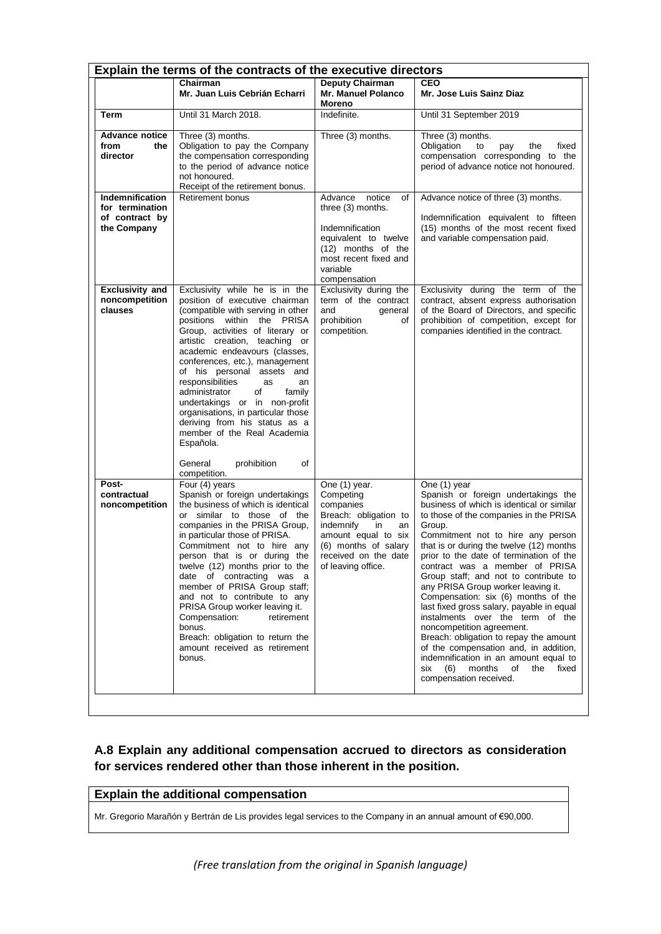|                                                                     | Explain the terms of the contracts of the executive directors                                                                                                                                                                                                                                                                                                                                                                                                                                                                                                                                   |                                                                                                                                                                                        |                                                                                                                                                                                                                                                                                                                                                                                                                                                                                                                                                                                                                                                                                                                                                         |
|---------------------------------------------------------------------|-------------------------------------------------------------------------------------------------------------------------------------------------------------------------------------------------------------------------------------------------------------------------------------------------------------------------------------------------------------------------------------------------------------------------------------------------------------------------------------------------------------------------------------------------------------------------------------------------|----------------------------------------------------------------------------------------------------------------------------------------------------------------------------------------|---------------------------------------------------------------------------------------------------------------------------------------------------------------------------------------------------------------------------------------------------------------------------------------------------------------------------------------------------------------------------------------------------------------------------------------------------------------------------------------------------------------------------------------------------------------------------------------------------------------------------------------------------------------------------------------------------------------------------------------------------------|
|                                                                     | Chairman<br>Mr. Juan Luis Cebrián Echarri                                                                                                                                                                                                                                                                                                                                                                                                                                                                                                                                                       | <b>Deputy Chairman</b><br><b>Mr. Manuel Polanco</b><br><b>Moreno</b>                                                                                                                   | CEO<br>Mr. Jose Luis Sainz Diaz                                                                                                                                                                                                                                                                                                                                                                                                                                                                                                                                                                                                                                                                                                                         |
| <b>Term</b>                                                         | Until 31 March 2018.                                                                                                                                                                                                                                                                                                                                                                                                                                                                                                                                                                            | Indefinite.                                                                                                                                                                            | Until 31 September 2019                                                                                                                                                                                                                                                                                                                                                                                                                                                                                                                                                                                                                                                                                                                                 |
| <b>Advance notice</b><br>from<br>the<br>director                    | Three (3) months.<br>Obligation to pay the Company<br>the compensation corresponding<br>to the period of advance notice<br>not honoured.<br>Receipt of the retirement bonus.                                                                                                                                                                                                                                                                                                                                                                                                                    | Three (3) months.                                                                                                                                                                      | Three (3) months.<br>Obligation<br>to<br>the<br>fixed<br>pay<br>compensation corresponding to the<br>period of advance notice not honoured.                                                                                                                                                                                                                                                                                                                                                                                                                                                                                                                                                                                                             |
| Indemnification<br>for termination<br>of contract by<br>the Company | Retirement bonus                                                                                                                                                                                                                                                                                                                                                                                                                                                                                                                                                                                | Advance<br>notice<br>of<br>three (3) months.<br>Indemnification<br>equivalent to twelve<br>(12) months of the<br>most recent fixed and<br>variable<br>compensation                     | Advance notice of three (3) months.<br>Indemnification equivalent to fifteen<br>(15) months of the most recent fixed<br>and variable compensation paid.                                                                                                                                                                                                                                                                                                                                                                                                                                                                                                                                                                                                 |
| <b>Exclusivity and</b><br>noncompetition<br>clauses                 | Exclusivity while he is in the<br>position of executive chairman<br>(compatible with serving in other<br>positions within the PRISA<br>Group, activities of literary or<br>artistic creation, teaching or<br>academic endeavours (classes,<br>conferences, etc.), management<br>of his personal assets and<br>responsibilities<br>as<br>an<br>of<br>administrator<br>family<br>undertakings or in non-profit<br>organisations, in particular those<br>deriving from his status as a<br>member of the Real Academia<br>Española.                                                                 | Exclusivity during the<br>term of the contract<br>and<br>general<br>prohibition<br>οf<br>competition.                                                                                  | Exclusivity during the term of the<br>contract, absent express authorisation<br>of the Board of Directors, and specific<br>prohibition of competition, except for<br>companies identified in the contract.                                                                                                                                                                                                                                                                                                                                                                                                                                                                                                                                              |
| Post-<br>contractual<br>noncompetition                              | General<br>prohibition<br>οf<br>competition.<br>Four (4) years<br>Spanish or foreign undertakings<br>the business of which is identical<br>or similar to those of the<br>companies in the PRISA Group,<br>in particular those of PRISA.<br>Commitment not to hire any<br>person that is or during the<br>twelve (12) months prior to the<br>date of contracting was a<br>member of PRISA Group staff;<br>and not to contribute to any<br>PRISA Group worker leaving it.<br>Compensation:<br>retirement<br>bonus.<br>Breach: obligation to return the<br>amount received as retirement<br>bonus. | One (1) year.<br>Competing<br>companies<br>Breach: obligation to<br>indemnify<br>in<br>an<br>amount equal to six<br>(6) months of salary<br>received on the date<br>of leaving office. | One (1) year<br>Spanish or foreign undertakings the<br>business of which is identical or similar<br>to those of the companies in the PRISA<br>Group.<br>Commitment not to hire any person<br>that is or during the twelve (12) months<br>prior to the date of termination of the<br>contract was a member of PRISA<br>Group staff; and not to contribute to<br>any PRISA Group worker leaving it.<br>Compensation: six (6) months of the<br>last fixed gross salary, payable in equal<br>instalments over the term of the<br>noncompetition agreement.<br>Breach: obligation to repay the amount<br>of the compensation and, in addition,<br>indemnification in an amount equal to<br>months<br>of the<br>fixed<br>six<br>(6)<br>compensation received. |

# **A.8 Explain any additional compensation accrued to directors as consideration for services rendered other than those inherent in the position.**

# **Explain the additional compensation**

Mr. Gregorio Marañón y Bertrán de Lis provides legal services to the Company in an annual amount of €90,000.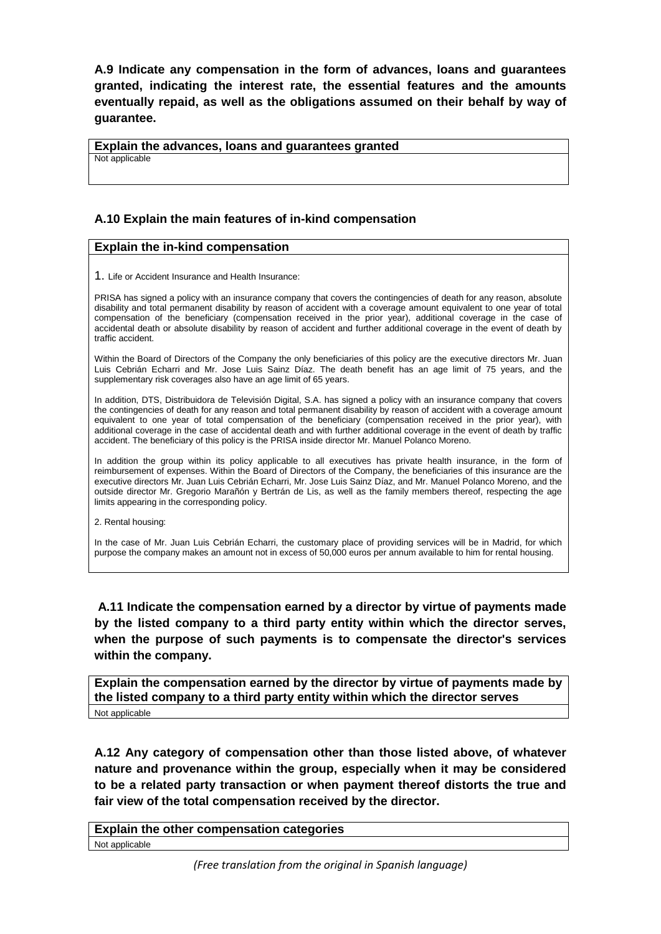**A.9 Indicate any compensation in the form of advances, loans and guarantees granted, indicating the interest rate, the essential features and the amounts eventually repaid, as well as the obligations assumed on their behalf by way of guarantee.** 

**Explain the advances, loans and guarantees granted**

Not applicable

## **A.10 Explain the main features of in-kind compensation**

### **Explain the in-kind compensation**

1. Life or Accident Insurance and Health Insurance:

PRISA has signed a policy with an insurance company that covers the contingencies of death for any reason, absolute disability and total permanent disability by reason of accident with a coverage amount equivalent to one year of total compensation of the beneficiary (compensation received in the prior year), additional coverage in the case of accidental death or absolute disability by reason of accident and further additional coverage in the event of death by traffic accident.

Within the Board of Directors of the Company the only beneficiaries of this policy are the executive directors Mr. Juan Luis Cebrián Echarri and Mr. Jose Luis Sainz Díaz. The death benefit has an age limit of 75 years, and the supplementary risk coverages also have an age limit of 65 years.

In addition, DTS, Distribuidora de Televisión Digital, S.A. has signed a policy with an insurance company that covers the contingencies of death for any reason and total permanent disability by reason of accident with a coverage amount equivalent to one year of total compensation of the beneficiary (compensation received in the prior year), with additional coverage in the case of accidental death and with further additional coverage in the event of death by traffic accident. The beneficiary of this policy is the PRISA inside director Mr. Manuel Polanco Moreno.

In addition the group within its policy applicable to all executives has private health insurance, in the form of reimbursement of expenses. Within the Board of Directors of the Company, the beneficiaries of this insurance are the executive directors Mr. Juan Luis Cebrián Echarri, Mr. Jose Luis Sainz Díaz, and Mr. Manuel Polanco Moreno, and the outside director Mr. Gregorio Marañón y Bertrán de Lis, as well as the family members thereof, respecting the age limits appearing in the corresponding policy.

2. Rental housing:

In the case of Mr. Juan Luis Cebrián Echarri, the customary place of providing services will be in Madrid, for which purpose the company makes an amount not in excess of 50,000 euros per annum available to him for rental housing.

**A.11 Indicate the compensation earned by a director by virtue of payments made by the listed company to a third party entity within which the director serves, when the purpose of such payments is to compensate the director's services within the company.** 

**Explain the compensation earned by the director by virtue of payments made by the listed company to a third party entity within which the director serves** Not applicable

**A.12 Any category of compensation other than those listed above, of whatever nature and provenance within the group, especially when it may be considered to be a related party transaction or when payment thereof distorts the true and fair view of the total compensation received by the director.** 

**Explain the other compensation categories**  Not applicable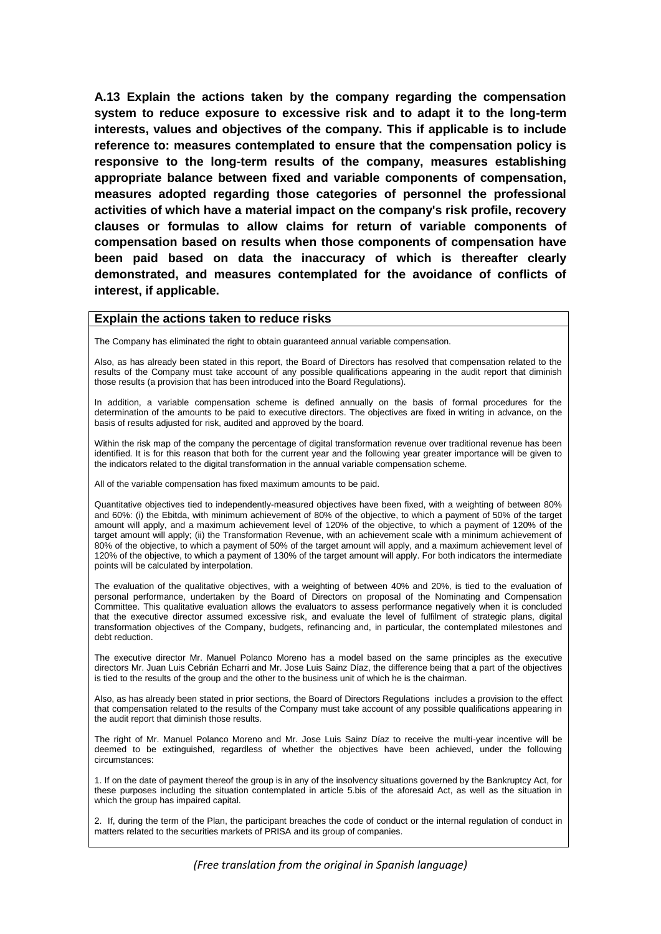**A.13 Explain the actions taken by the company regarding the compensation system to reduce exposure to excessive risk and to adapt it to the long-term interests, values and objectives of the company. This if applicable is to include reference to: measures contemplated to ensure that the compensation policy is responsive to the long-term results of the company, measures establishing appropriate balance between fixed and variable components of compensation, measures adopted regarding those categories of personnel the professional activities of which have a material impact on the company's risk profile, recovery clauses or formulas to allow claims for return of variable components of compensation based on results when those components of compensation have been paid based on data the inaccuracy of which is thereafter clearly demonstrated, and measures contemplated for the avoidance of conflicts of interest, if applicable.**

#### **Explain the actions taken to reduce risks**

The Company has eliminated the right to obtain guaranteed annual variable compensation.

Also, as has already been stated in this report, the Board of Directors has resolved that compensation related to the results of the Company must take account of any possible qualifications appearing in the audit report that diminish those results (a provision that has been introduced into the Board Regulations).

In addition, a variable compensation scheme is defined annually on the basis of formal procedures for the determination of the amounts to be paid to executive directors. The objectives are fixed in writing in advance, on the basis of results adjusted for risk, audited and approved by the board.

Within the risk map of the company the percentage of digital transformation revenue over traditional revenue has been identified. It is for this reason that both for the current year and the following year greater importance will be given to the indicators related to the digital transformation in the annual variable compensation scheme.

All of the variable compensation has fixed maximum amounts to be paid.

Quantitative objectives tied to independently-measured objectives have been fixed, with a weighting of between 80% and 60%: (i) the Ebitda, with minimum achievement of 80% of the objective, to which a payment of 50% of the target amount will apply, and a maximum achievement level of 120% of the objective, to which a payment of 120% of the target amount will apply; (ii) the Transformation Revenue, with an achievement scale with a minimum achievement of 80% of the objective, to which a payment of 50% of the target amount will apply, and a maximum achievement level of 120% of the objective, to which a payment of 130% of the target amount will apply. For both indicators the intermediate points will be calculated by interpolation.

The evaluation of the qualitative objectives, with a weighting of between 40% and 20%, is tied to the evaluation of personal performance, undertaken by the Board of Directors on proposal of the Nominating and Compensation Committee. This qualitative evaluation allows the evaluators to assess performance negatively when it is concluded that the executive director assumed excessive risk, and evaluate the level of fulfilment of strategic plans, digital transformation objectives of the Company, budgets, refinancing and, in particular, the contemplated milestones and debt reduction.

The executive director Mr. Manuel Polanco Moreno has a model based on the same principles as the executive directors Mr. Juan Luis Cebrián Echarri and Mr. Jose Luis Sainz Díaz, the difference being that a part of the objectives is tied to the results of the group and the other to the business unit of which he is the chairman.

Also, as has already been stated in prior sections, the Board of Directors Regulations includes a provision to the effect that compensation related to the results of the Company must take account of any possible qualifications appearing in the audit report that diminish those results.

The right of Mr. Manuel Polanco Moreno and Mr. Jose Luis Sainz Díaz to receive the multi-year incentive will be deemed to be extinguished, regardless of whether the objectives have been achieved, under the following circumstances:

1. If on the date of payment thereof the group is in any of the insolvency situations governed by the Bankruptcy Act, for these purposes including the situation contemplated in article 5.bis of the aforesaid Act, as well as the situation in which the group has impaired capital.

2. If, during the term of the Plan, the participant breaches the code of conduct or the internal regulation of conduct in matters related to the securities markets of PRISA and its group of companies.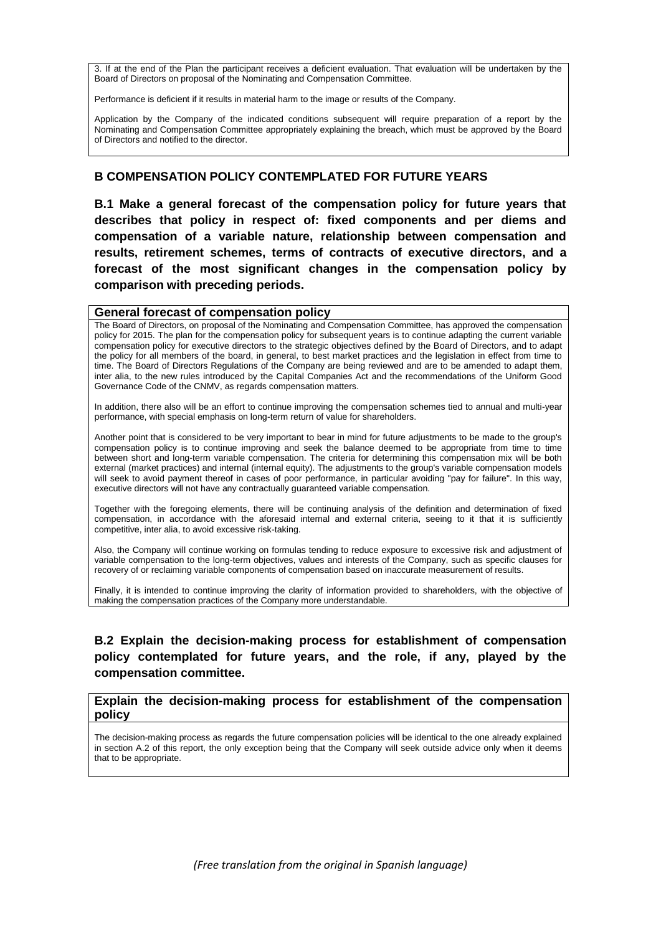3. If at the end of the Plan the participant receives a deficient evaluation. That evaluation will be undertaken by the Board of Directors on proposal of the Nominating and Compensation Committee.

Performance is deficient if it results in material harm to the image or results of the Company.

Application by the Company of the indicated conditions subsequent will require preparation of a report by the Nominating and Compensation Committee appropriately explaining the breach, which must be approved by the Board of Directors and notified to the director.

### **B COMPENSATION POLICY CONTEMPLATED FOR FUTURE YEARS**

**B.1 Make a general forecast of the compensation policy for future years that describes that policy in respect of: fixed components and per diems and compensation of a variable nature, relationship between compensation and results, retirement schemes, terms of contracts of executive directors, and a forecast of the most significant changes in the compensation policy by comparison with preceding periods.** 

#### **General forecast of compensation policy**

The Board of Directors, on proposal of the Nominating and Compensation Committee, has approved the compensation policy for 2015. The plan for the compensation policy for subsequent years is to continue adapting the current variable compensation policy for executive directors to the strategic objectives defined by the Board of Directors, and to adapt the policy for all members of the board, in general, to best market practices and the legislation in effect from time to time. The Board of Directors Regulations of the Company are being reviewed and are to be amended to adapt them, inter alia, to the new rules introduced by the Capital Companies Act and the recommendations of the Uniform Good Governance Code of the CNMV, as regards compensation matters.

In addition, there also will be an effort to continue improving the compensation schemes tied to annual and multi-year performance, with special emphasis on long-term return of value for shareholders.

Another point that is considered to be very important to bear in mind for future adjustments to be made to the group's compensation policy is to continue improving and seek the balance deemed to be appropriate from time to time between short and long-term variable compensation. The criteria for determining this compensation mix will be both external (market practices) and internal (internal equity). The adjustments to the group's variable compensation models will seek to avoid payment thereof in cases of poor performance, in particular avoiding "pay for failure". In this way, executive directors will not have any contractually guaranteed variable compensation.

Together with the foregoing elements, there will be continuing analysis of the definition and determination of fixed compensation, in accordance with the aforesaid internal and external criteria, seeing to it that it is sufficiently competitive, inter alia, to avoid excessive risk-taking.

Also, the Company will continue working on formulas tending to reduce exposure to excessive risk and adjustment of variable compensation to the long-term objectives, values and interests of the Company, such as specific clauses for recovery of or reclaiming variable components of compensation based on inaccurate measurement of results.

Finally, it is intended to continue improving the clarity of information provided to shareholders, with the objective of making the compensation practices of the Company more understandable.

# **B.2 Explain the decision-making process for establishment of compensation policy contemplated for future years, and the role, if any, played by the compensation committee.**

#### **Explain the decision-making process for establishment of the compensation policy**

The decision-making process as regards the future compensation policies will be identical to the one already explained in section A.2 of this report, the only exception being that the Company will seek outside advice only when it deems that to be appropriate.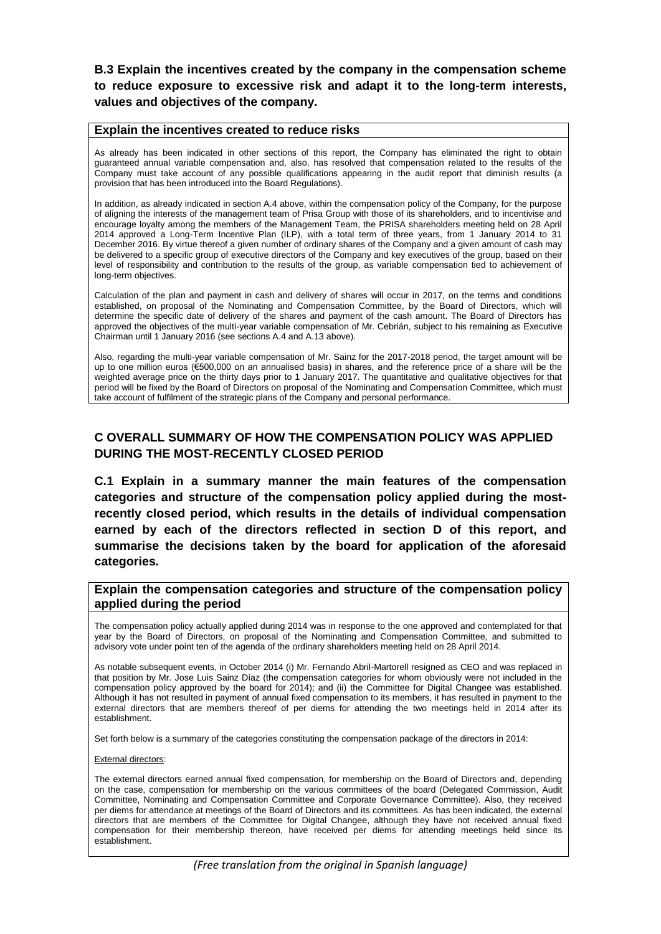**B.3 Explain the incentives created by the company in the compensation scheme to reduce exposure to excessive risk and adapt it to the long-term interests, values and objectives of the company.** 

#### **Explain the incentives created to reduce risks**

As already has been indicated in other sections of this report, the Company has eliminated the right to obtain guaranteed annual variable compensation and, also, has resolved that compensation related to the results of the Company must take account of any possible qualifications appearing in the audit report that diminish results (a provision that has been introduced into the Board Regulations).

In addition, as already indicated in section A.4 above, within the compensation policy of the Company, for the purpose of aligning the interests of the management team of Prisa Group with those of its shareholders, and to incentivise and encourage loyalty among the members of the Management Team, the PRISA shareholders meeting held on 28 April 2014 approved a Long-Term Incentive Plan (ILP), with a total term of three years, from 1 January 2014 to 31 December 2016. By virtue thereof a given number of ordinary shares of the Company and a given amount of cash may be delivered to a specific group of executive directors of the Company and key executives of the group, based on their level of responsibility and contribution to the results of the group, as variable compensation tied to achievement of long-term objectives.

Calculation of the plan and payment in cash and delivery of shares will occur in 2017, on the terms and conditions established, on proposal of the Nominating and Compensation Committee, by the Board of Directors, which will determine the specific date of delivery of the shares and payment of the cash amount. The Board of Directors has approved the objectives of the multi-year variable compensation of Mr. Cebrián, subject to his remaining as Executive Chairman until 1 January 2016 (see sections A.4 and A.13 above).

Also, regarding the multi-year variable compensation of Mr. Sainz for the 2017-2018 period, the target amount will be up to one million euros (€500,000 on an annualised basis) in shares, and the reference price of a share will be the weighted average price on the thirty days prior to 1 January 2017. The quantitative and qualitative objectives for that period will be fixed by the Board of Directors on proposal of the Nominating and Compensation Committee, which must take account of fulfilment of the strategic plans of the Company and personal performance.

# **C OVERALL SUMMARY OF HOW THE COMPENSATION POLICY WAS APPLIED DURING THE MOST-RECENTLY CLOSED PERIOD**

**C.1 Explain in a summary manner the main features of the compensation categories and structure of the compensation policy applied during the mostrecently closed period, which results in the details of individual compensation earned by each of the directors reflected in section D of this report, and summarise the decisions taken by the board for application of the aforesaid categories.** 

#### **Explain the compensation categories and structure of the compensation policy applied during the period**

The compensation policy actually applied during 2014 was in response to the one approved and contemplated for that year by the Board of Directors, on proposal of the Nominating and Compensation Committee, and submitted to advisory vote under point ten of the agenda of the ordinary shareholders meeting held on 28 April 2014.

As notable subsequent events, in October 2014 (i) Mr. Fernando Abril-Martorell resigned as CEO and was replaced in that position by Mr. Jose Luis Sainz Díaz (the compensation categories for whom obviously were not included in the compensation policy approved by the board for 2014); and (ii) the Committee for Digital Changee was established. Although it has not resulted in payment of annual fixed compensation to its members, it has resulted in payment to the external directors that are members thereof of per diems for attending the two meetings held in 2014 after its establishment.

Set forth below is a summary of the categories constituting the compensation package of the directors in 2014:

External directors:

The external directors earned annual fixed compensation, for membership on the Board of Directors and, depending on the case, compensation for membership on the various committees of the board (Delegated Commission, Audit Committee, Nominating and Compensation Committee and Corporate Governance Committee). Also, they received per diems for attendance at meetings of the Board of Directors and its committees. As has been indicated, the external directors that are members of the Committee for Digital Changee, although they have not received annual fixed compensation for their membership thereon, have received per diems for attending meetings held since its establishment.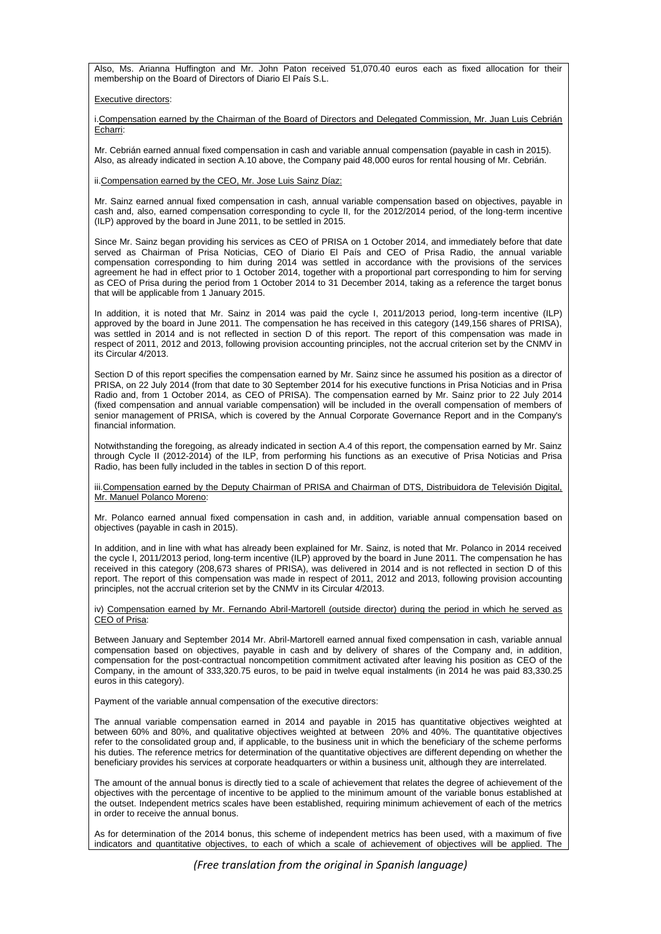Also, Ms. Arianna Huffington and Mr. John Paton received 51,070.40 euros each as fixed allocation for their membership on the Board of Directors of Diario El País S.L.

Executive directors:

i.Compensation earned by the Chairman of the Board of Directors and Delegated Commission, Mr. Juan Luis Cebrián Echarri:

Mr. Cebrián earned annual fixed compensation in cash and variable annual compensation (payable in cash in 2015). Also, as already indicated in section A.10 above, the Company paid 48,000 euros for rental housing of Mr. Cebrián.

ii.Compensation earned by the CEO, Mr. Jose Luis Sainz Díaz:

Mr. Sainz earned annual fixed compensation in cash, annual variable compensation based on objectives, payable in cash and, also, earned compensation corresponding to cycle II, for the 2012/2014 period, of the long-term incentive (ILP) approved by the board in June 2011, to be settled in 2015.

Since Mr. Sainz began providing his services as CEO of PRISA on 1 October 2014, and immediately before that date served as Chairman of Prisa Noticias, CEO of Diario El País and CEO of Prisa Radio, the annual variable compensation corresponding to him during 2014 was settled in accordance with the provisions of the services agreement he had in effect prior to 1 October 2014, together with a proportional part corresponding to him for serving as CEO of Prisa during the period from 1 October 2014 to 31 December 2014, taking as a reference the target bonus that will be applicable from 1 January 2015.

In addition, it is noted that Mr. Sainz in 2014 was paid the cycle I, 2011/2013 period, long-term incentive (ILP) approved by the board in June 2011. The compensation he has received in this category (149,156 shares of PRISA), was settled in 2014 and is not reflected in section D of this report. The report of this compensation was made in respect of 2011, 2012 and 2013, following provision accounting principles, not the accrual criterion set by the CNMV in its Circular 4/2013.

Section D of this report specifies the compensation earned by Mr. Sainz since he assumed his position as a director of PRISA, on 22 July 2014 (from that date to 30 September 2014 for his executive functions in Prisa Noticias and in Prisa Radio and, from 1 October 2014, as CEO of PRISA). The compensation earned by Mr. Sainz prior to 22 July 2014 (fixed compensation and annual variable compensation) will be included in the overall compensation of members of senior management of PRISA, which is covered by the Annual Corporate Governance Report and in the Company's financial information.

Notwithstanding the foregoing, as already indicated in section A.4 of this report, the compensation earned by Mr. Sainz through Cycle II (2012-2014) of the ILP, from performing his functions as an executive of Prisa Noticias and Prisa Radio, has been fully included in the tables in section D of this report.

iii.Compensation earned by the Deputy Chairman of PRISA and Chairman of DTS, Distribuidora de Televisión Digital, Mr. Manuel Polanco Moreno:

Mr. Polanco earned annual fixed compensation in cash and, in addition, variable annual compensation based on objectives (payable in cash in 2015).

In addition, and in line with what has already been explained for Mr. Sainz, is noted that Mr. Polanco in 2014 received the cycle I, 2011/2013 period, long-term incentive (ILP) approved by the board in June 2011. The compensation he has received in this category (208,673 shares of PRISA), was delivered in 2014 and is not reflected in section D of this report. The report of this compensation was made in respect of 2011, 2012 and 2013, following provision accounting principles, not the accrual criterion set by the CNMV in its Circular 4/2013.

iv) Compensation earned by Mr. Fernando Abril-Martorell (outside director) during the period in which he served as CEO of Prisa:

Between January and September 2014 Mr. Abril-Martorell earned annual fixed compensation in cash, variable annual compensation based on objectives, payable in cash and by delivery of shares of the Company and, in addition, compensation for the post-contractual noncompetition commitment activated after leaving his position as CEO of the Company, in the amount of 333,320.75 euros, to be paid in twelve equal instalments (in 2014 he was paid 83,330.25 euros in this category).

Payment of the variable annual compensation of the executive directors:

The annual variable compensation earned in 2014 and payable in 2015 has quantitative objectives weighted at between 60% and 80%, and qualitative objectives weighted at between 20% and 40%. The quantitative objectives refer to the consolidated group and, if applicable, to the business unit in which the beneficiary of the scheme performs his duties. The reference metrics for determination of the quantitative objectives are different depending on whether the beneficiary provides his services at corporate headquarters or within a business unit, although they are interrelated.

The amount of the annual bonus is directly tied to a scale of achievement that relates the degree of achievement of the objectives with the percentage of incentive to be applied to the minimum amount of the variable bonus established at the outset. Independent metrics scales have been established, requiring minimum achievement of each of the metrics in order to receive the annual bonus.

As for determination of the 2014 bonus, this scheme of independent metrics has been used, with a maximum of five indicators and quantitative objectives, to each of which a scale of achievement of objectives will be applied. The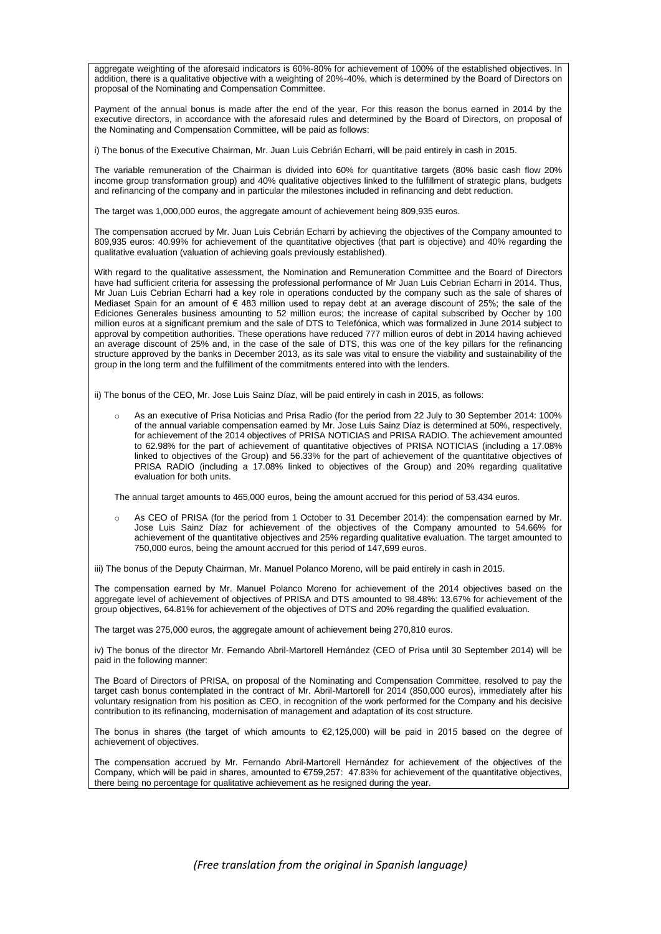aggregate weighting of the aforesaid indicators is 60%-80% for achievement of 100% of the established objectives. In addition, there is a qualitative objective with a weighting of 20%-40%, which is determined by the Board of Directors on proposal of the Nominating and Compensation Committee.

Payment of the annual bonus is made after the end of the year. For this reason the bonus earned in 2014 by the executive directors, in accordance with the aforesaid rules and determined by the Board of Directors, on proposal of the Nominating and Compensation Committee, will be paid as follows:

i) The bonus of the Executive Chairman, Mr. Juan Luis Cebrián Echarri, will be paid entirely in cash in 2015.

The variable remuneration of the Chairman is divided into 60% for quantitative targets (80% basic cash flow 20% income group transformation group) and 40% qualitative objectives linked to the fulfillment of strategic plans, budgets and refinancing of the company and in particular the milestones included in refinancing and debt reduction.

The target was 1,000,000 euros, the aggregate amount of achievement being 809,935 euros.

The compensation accrued by Mr. Juan Luis Cebrián Echarri by achieving the objectives of the Company amounted to 809,935 euros: 40.99% for achievement of the quantitative objectives (that part is objective) and 40% regarding the qualitative evaluation (valuation of achieving goals previously established).

With regard to the qualitative assessment, the Nomination and Remuneration Committee and the Board of Directors have had sufficient criteria for assessing the professional performance of Mr Juan Luis Cebrian Echarri in 2014. Thus, Mr Juan Luis Cebrian Echarri had a key role in operations conducted by the company such as the sale of shares of Mediaset Spain for an amount of € 483 million used to repay debt at an average discount of 25%; the sale of the Ediciones Generales business amounting to 52 million euros; the increase of capital subscribed by Occher by 100 million euros at a significant premium and the sale of DTS to Telefónica, which was formalized in June 2014 subject to approval by competition authorities. These operations have reduced 777 million euros of debt in 2014 having achieved an average discount of 25% and, in the case of the sale of DTS, this was one of the key pillars for the refinancing structure approved by the banks in December 2013, as its sale was vital to ensure the viability and sustainability of the group in the long term and the fulfillment of the commitments entered into with the lenders.

ii) The bonus of the CEO, Mr. Jose Luis Sainz Díaz, will be paid entirely in cash in 2015, as follows:

As an executive of Prisa Noticias and Prisa Radio (for the period from 22 July to 30 September 2014: 100% of the annual variable compensation earned by Mr. Jose Luis Sainz Díaz is determined at 50%, respectively, for achievement of the 2014 objectives of PRISA NOTICIAS and PRISA RADIO. The achievement amounted to 62.98% for the part of achievement of quantitative objectives of PRISA NOTICIAS (including a 17.08% linked to objectives of the Group) and 56.33% for the part of achievement of the quantitative objectives of PRISA RADIO (including a 17.08% linked to objectives of the Group) and 20% regarding qualitative evaluation for both units.

The annual target amounts to 465,000 euros, being the amount accrued for this period of 53,434 euros.

o As CEO of PRISA (for the period from 1 October to 31 December 2014): the compensation earned by Mr. Jose Luis Sainz Díaz for achievement of the objectives of the Company amounted to 54.66% for achievement of the quantitative objectives and 25% regarding qualitative evaluation. The target amounted to 750,000 euros, being the amount accrued for this period of 147,699 euros.

iii) The bonus of the Deputy Chairman, Mr. Manuel Polanco Moreno, will be paid entirely in cash in 2015.

The compensation earned by Mr. Manuel Polanco Moreno for achievement of the 2014 objectives based on the aggregate level of achievement of objectives of PRISA and DTS amounted to 98.48%: 13.67% for achievement of the group objectives, 64.81% for achievement of the objectives of DTS and 20% regarding the qualified evaluation.

The target was 275,000 euros, the aggregate amount of achievement being 270,810 euros.

iv) The bonus of the director Mr. Fernando Abril-Martorell Hernández (CEO of Prisa until 30 September 2014) will be paid in the following manner:

The Board of Directors of PRISA, on proposal of the Nominating and Compensation Committee, resolved to pay the target cash bonus contemplated in the contract of Mr. Abril-Martorell for 2014 (850,000 euros), immediately after his voluntary resignation from his position as CEO, in recognition of the work performed for the Company and his decisive contribution to its refinancing, modernisation of management and adaptation of its cost structure.

The bonus in shares (the target of which amounts to  $\epsilon$ 2,125,000) will be paid in 2015 based on the degree of achievement of objectives.

The compensation accrued by Mr. Fernando Abril-Martorell Hernández for achievement of the objectives of the Company, which will be paid in shares, amounted to €759,257: 47.83% for achievement of the quantitative objectives, there being no percentage for qualitative achievement as he resigned during the year.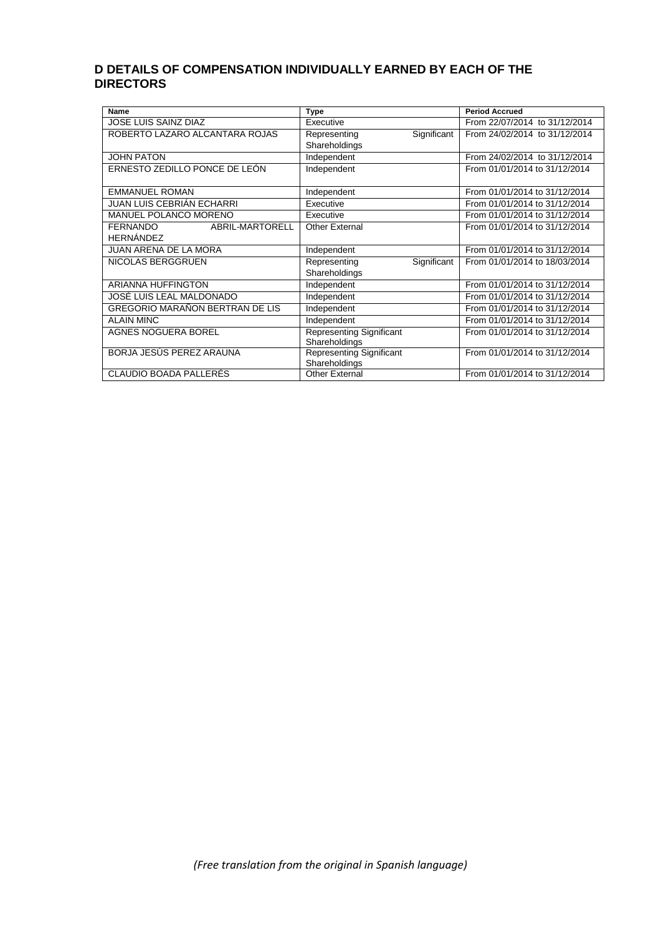## **D DETAILS OF COMPENSATION INDIVIDUALLY EARNED BY EACH OF THE DIRECTORS**

| <b>Name</b>                        | Type                            | <b>Period Accrued</b>         |
|------------------------------------|---------------------------------|-------------------------------|
| <b>JOSE LUIS SAINZ DIAZ</b>        | Executive                       | From 22/07/2014 to 31/12/2014 |
| ROBERTO LAZARO ALCANTARA ROJAS     | Significant<br>Representing     | From 24/02/2014 to 31/12/2014 |
|                                    | Shareholdings                   |                               |
| <b>JOHN PATON</b>                  | Independent                     | From 24/02/2014 to 31/12/2014 |
| ERNESTO ZEDILLO PONCE DE LEÓN      | Independent                     | From 01/01/2014 to 31/12/2014 |
|                                    |                                 |                               |
| <b>EMMANUEL ROMAN</b>              | Independent                     | From 01/01/2014 to 31/12/2014 |
| JUAN LUIS CEBRIÁN ECHARRI          | Executive                       | From 01/01/2014 to 31/12/2014 |
| <b>MANUEL POLANCO MORENO</b>       | Executive                       | From 01/01/2014 to 31/12/2014 |
| ABRIL-MARTORELL<br><b>FERNANDO</b> | <b>Other External</b>           | From 01/01/2014 to 31/12/2014 |
| <b>HERNÁNDEZ</b>                   |                                 |                               |
| <b>JUAN ARENA DE LA MORA</b>       | Independent                     | From 01/01/2014 to 31/12/2014 |
| NICOLAS BERGGRUEN                  | Significant<br>Representing     | From 01/01/2014 to 18/03/2014 |
|                                    | Shareholdings                   |                               |
| <b>ARIANNA HUFFINGTON</b>          | Independent                     | From 01/01/2014 to 31/12/2014 |
| JOSÉ LUIS LEAL MALDONADO           | Independent                     | From 01/01/2014 to 31/12/2014 |
| GREGORIO MARAÑON BERTRAN DE LIS    | Independent                     | From 01/01/2014 to 31/12/2014 |
| <b>ALAIN MINC</b>                  | Independent                     | From 01/01/2014 to 31/12/2014 |
| <b>AGNES NOGUERA BOREL</b>         | <b>Representing Significant</b> | From 01/01/2014 to 31/12/2014 |
|                                    | Shareholdings                   |                               |
| BORJA JESÚS PEREZ ARAUNA           | Representing Significant        | From 01/01/2014 to 31/12/2014 |
|                                    | Shareholdings                   |                               |
| CLAUDIO BOADA PALLERÉS             | <b>Other External</b>           | From 01/01/2014 to 31/12/2014 |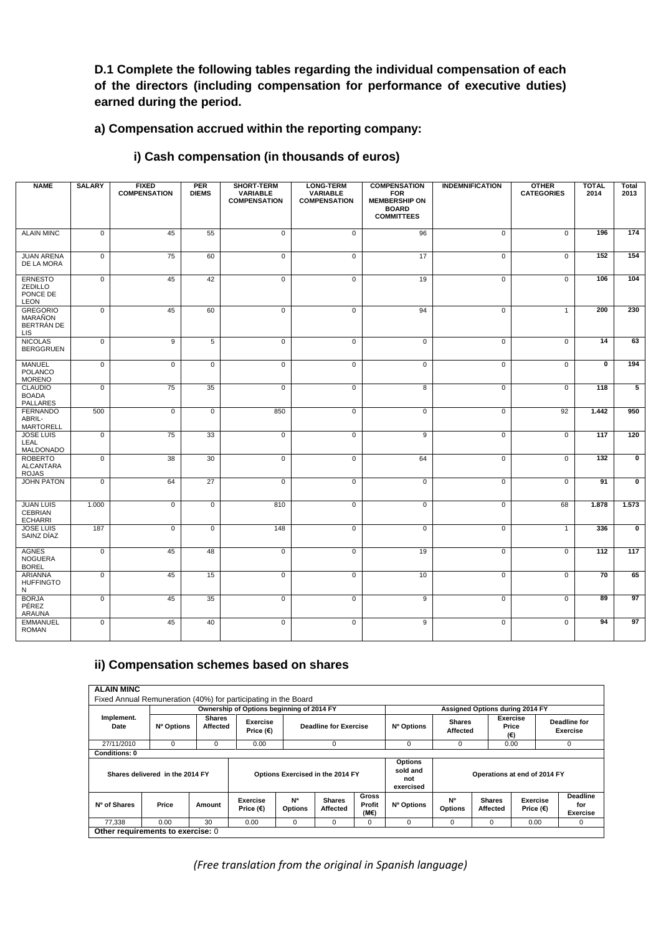# **D.1 Complete the following tables regarding the individual compensation of each of the directors (including compensation for performance of executive duties) earned during the period.**

# **a) Compensation accrued within the reporting company:**

### **i) Cash compensation (in thousands of euros)**

| <b>NAME</b>                                            | <b>SALARY</b>  | <b>FIXED</b><br><b>COMPENSATION</b> | <b>PER</b><br><b>DIEMS</b> | <b>SHORT-TERM</b><br><b>VARIABLE</b><br><b>COMPENSATION</b> | <b>LONG-TERM</b><br><b>VARIABLE</b><br><b>COMPENSATION</b> | <b>COMPENSATION</b><br><b>FOR</b><br><b>MEMBERSHIP ON</b><br><b>BOARD</b><br><b>COMMITTEES</b> | <b>INDEMNIFICATION</b> | <b>OTHER</b><br><b>CATEGORIES</b> | <b>TOTAL</b><br>2014    | <b>Total</b><br>2013    |
|--------------------------------------------------------|----------------|-------------------------------------|----------------------------|-------------------------------------------------------------|------------------------------------------------------------|------------------------------------------------------------------------------------------------|------------------------|-----------------------------------|-------------------------|-------------------------|
| <b>ALAIN MINC</b>                                      | $\overline{0}$ | 45                                  | 55                         | $\overline{0}$                                              | $\overline{0}$                                             | 96                                                                                             | $\overline{0}$         | $\overline{0}$                    | 196                     | 174                     |
| <b>JUAN ARENA</b><br>DE LA MORA                        | $\mathbf 0$    | 75                                  | 60                         | $\mathbf 0$                                                 | $\overline{0}$                                             | 17                                                                                             | 0                      | $\mathbf 0$                       | 152                     | 154                     |
| <b>ERNESTO</b><br>ZEDILLO<br>PONCE DE<br><b>LEON</b>   | $\mathbf 0$    | 45                                  | 42                         | $\mathbf{0}$                                                | $\mathbf 0$                                                | 19                                                                                             | $\mathbf{0}$           | $\mathbf 0$                       | 106                     | 104                     |
| <b>GREGORIO</b><br>MARAÑON<br>BERTRÁN DE<br><b>LIS</b> | $\mathbf 0$    | 45                                  | 60                         | $\mathbf 0$                                                 | $\mathbf 0$                                                | 94                                                                                             | $\mathbf 0$            | $\mathbf{1}$                      | 200                     | 230                     |
| <b>NICOLAS</b><br><b>BERGGRUEN</b>                     | $\pmb{0}$      | 9                                   | 5                          | $\mathbf 0$                                                 | $\mathsf 0$                                                | $\mathbf 0$                                                                                    | $\mathbf 0$            | $\mathbf 0$                       | 14                      | 63                      |
| <b>MANUEL</b><br><b>POLANCO</b><br><b>MORENO</b>       | $\overline{0}$ | $\overline{0}$                      | $\overline{0}$             | $\overline{0}$                                              | $\overline{0}$                                             | $\overline{0}$                                                                                 | $\overline{0}$         | $\overline{0}$                    | $\overline{\mathbf{0}}$ | 194                     |
| <b>CLAUDIO</b><br><b>BOADA</b><br><b>PALLARES</b>      | $\overline{0}$ | 75                                  | 35                         | $\overline{0}$                                              | $\overline{0}$                                             | $\overline{8}$                                                                                 | $\overline{0}$         | $\overline{0}$                    | 118                     | 5                       |
| <b>FERNANDO</b><br>ABRIL-<br><b>MARTORELL</b>          | 500            | $\Omega$                            | $\mathbf 0$                | 850                                                         | $\overline{0}$                                             | $\mathbf 0$                                                                                    | $\mathbf 0$            | 92                                | 1.442                   | 950                     |
| <b>JOSE LUIS</b><br>LEAL<br>MALDONADO                  | $\mathbf 0$    | 75                                  | 33                         | $\mathbf 0$                                                 | $\mathbf 0$                                                | 9                                                                                              | $\mathbf{0}$           | $\mathbf 0$                       | 117                     | 120                     |
| <b>ROBERTO</b><br><b>ALCANTARA</b><br><b>ROJAS</b>     | $\overline{0}$ | 38                                  | 30                         | $\mathbf 0$                                                 | $\overline{0}$                                             | 64                                                                                             | 0                      | $\mathbf 0$                       | 132                     | 0                       |
| <b>JOHN PATON</b>                                      | $\overline{0}$ | 64                                  | $\overline{27}$            | $\Omega$                                                    | $\overline{0}$                                             | $\mathbf 0$                                                                                    | $\overline{0}$         | $\Omega$                          | 91                      | $\overline{\mathbf{0}}$ |
| <b>JUAN LUIS</b><br><b>CEBRIAN</b><br><b>ECHARRI</b>   | 1.000          | $\overline{0}$                      | $\overline{0}$             | 810                                                         | $\overline{0}$                                             | $\overline{0}$                                                                                 | $\overline{0}$         | 68                                | 1.878                   | 1.573                   |
| <b>JOSE LUIS</b><br>SAINZ DÍAZ                         | 187            | $\mathbf 0$                         | $\mathbf{0}$               | 148                                                         | $\mathbf 0$                                                | $\mathbf 0$                                                                                    | $\Omega$               | $\mathbf{1}$                      | 336                     | $\mathbf 0$             |
| <b>AGNES</b><br><b>NOGUERA</b><br><b>BOREL</b>         | $\overline{0}$ | 45                                  | 48                         | $\mathbf 0$                                                 | $\overline{0}$                                             | 19                                                                                             | 0                      | $\overline{0}$                    | 112                     | 117                     |
| ARIANNA<br><b>HUFFINGTO</b><br>N                       | $\mathbf 0$    | 45                                  | 15                         | $\mathbf 0$                                                 | $\mathbf 0$                                                | 10                                                                                             | $\mathbf 0$            | $\mathbf 0$                       | 70                      | 65                      |
| <b>BORJA</b><br>PÉREZ<br><b>ARAUNA</b>                 | $\overline{0}$ | 45                                  | 35                         | $\overline{0}$                                              | $\overline{0}$                                             | 9                                                                                              | $\overline{0}$         | $\overline{0}$                    | 89                      | 97                      |
| <b>EMMANUEL</b><br><b>ROMAN</b>                        | $\mathbf 0$    | 45                                  | 40                         | $\mathbf 0$                                                 | $\mathbf 0$                                                | 9                                                                                              | $\mathbf 0$            | $\mathbf 0$                       | 94                      | 97                      |

### **ii) Compensation schemes based on shares**

|                      |                                 |                           |                                |                                         |                              | Ownership of Options beginning of 2014 FY |                                                |                             |                           |                              |                                           |  |  |
|----------------------|---------------------------------|---------------------------|--------------------------------|-----------------------------------------|------------------------------|-------------------------------------------|------------------------------------------------|-----------------------------|---------------------------|------------------------------|-------------------------------------------|--|--|
| Implement.<br>Date   | Nº Options                      | <b>Shares</b><br>Affected | Exercise<br>Price $(\epsilon)$ |                                         | <b>Deadline for Exercise</b> |                                           | Nº Options                                     | <b>Shares</b><br>Affected   | (€)                       | <b>Exercise</b><br>Price     | <b>Deadline for</b><br><b>Exercise</b>    |  |  |
| 27/11/2010           | $\Omega$                        | $\Omega$                  | 0.00                           |                                         | $\Omega$                     |                                           | $\Omega$                                       | 0                           | 0.00                      |                              | $\Omega$                                  |  |  |
| <b>Conditions: 0</b> |                                 |                           |                                |                                         |                              |                                           |                                                |                             |                           |                              |                                           |  |  |
|                      | Shares delivered in the 2014 FY |                           |                                | Options Exercised in the 2014 FY        |                              |                                           | <b>Options</b><br>sold and<br>not<br>exercised |                             |                           | Operations at end of 2014 FY |                                           |  |  |
| Nº of Shares         | Price                           | Amount                    | Exercise<br>Price $(\epsilon)$ | <b>N</b> <sup>a</sup><br><b>Options</b> | <b>Shares</b><br>Affected    | <b>Gross</b><br>Profit<br>(M€)            | Nº Options                                     | <b>N°</b><br><b>Options</b> | <b>Shares</b><br>Affected | Exercise<br>Price (€)        | <b>Deadline</b><br>for<br><b>Exercise</b> |  |  |
| 77,338               | 0.00                            | 30                        | 0.00                           | $\Omega$                                | $\Omega$                     | 0                                         | $\Omega$                                       | 0                           | $\mathbf 0$               | 0.00                         | 0                                         |  |  |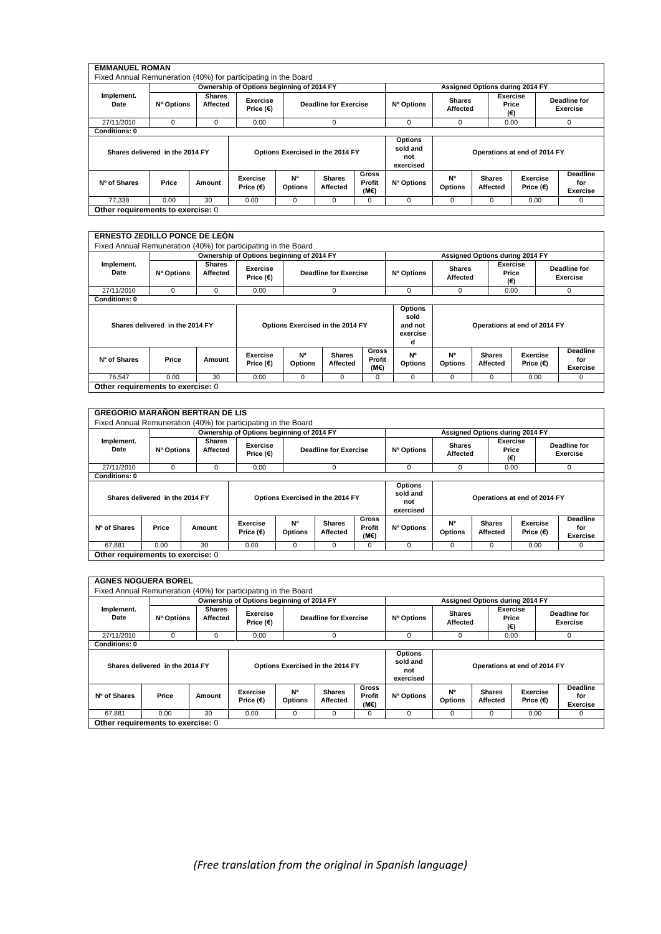|                      |                                 |                           | Ownership of Options beginning of 2014 FY |                                  |                              |                                | Assigned Options during 2014 FY                |                             |                           |                              |                                           |  |
|----------------------|---------------------------------|---------------------------|-------------------------------------------|----------------------------------|------------------------------|--------------------------------|------------------------------------------------|-----------------------------|---------------------------|------------------------------|-------------------------------------------|--|
| Implement.<br>Date   | Nº Options                      | <b>Shares</b><br>Affected | Exercise<br>Price (€)                     |                                  | <b>Deadline for Exercise</b> |                                | Nº Options                                     | <b>Shares</b><br>Affected   | (€)                       | Exercise<br>Price            | <b>Deadline for</b><br><b>Exercise</b>    |  |
| 27/11/2010           | $\Omega$                        | 0                         | 0.00                                      |                                  | $\Omega$                     |                                | 0                                              | 0                           | 0.00                      |                              | 0                                         |  |
| <b>Conditions: 0</b> |                                 |                           |                                           |                                  |                              |                                |                                                |                             |                           |                              |                                           |  |
|                      | Shares delivered in the 2014 FY |                           |                                           | Options Exercised in the 2014 FY |                              |                                | <b>Options</b><br>sold and<br>not<br>exercised |                             |                           | Operations at end of 2014 FY |                                           |  |
| Nº of Shares         | Price                           | Amount                    | <b>Exercise</b><br>Price $(€)$            | N <sup>a</sup><br><b>Options</b> | <b>Shares</b><br>Affected    | <b>Gross</b><br>Profit<br>(ME) | Nº Options                                     | <b>N°</b><br><b>Options</b> | <b>Shares</b><br>Affected | Exercise<br>Price (€)        | <b>Deadline</b><br>for<br><b>Exercise</b> |  |
| 77.338               | 0.00                            | 30                        | 0.00                                      | $\Omega$                         | $\Omega$                     | 0                              | $\Omega$                                       | 0                           | $\mathbf 0$               | 0.00                         | $\Omega$                                  |  |

|                      |                                 |                           | Ownership of Options beginning of 2014 FY |                                  |                                  |                                | Assigned Options during 2014 FY                    |                             |                                                                                            |                              |                                 |  |
|----------------------|---------------------------------|---------------------------|-------------------------------------------|----------------------------------|----------------------------------|--------------------------------|----------------------------------------------------|-----------------------------|--------------------------------------------------------------------------------------------|------------------------------|---------------------------------|--|
| Implement.<br>Date   | Nº Options                      | <b>Shares</b><br>Affected | Exercise<br>Price $(\epsilon)$            |                                  | <b>Deadline for Exercise</b>     |                                | Nº Options                                         | <b>Shares</b><br>Affected   | (€)                                                                                        | <b>Exercise</b><br>Price     | <b>Deadline for</b><br>Exercise |  |
| 27/11/2010           | $\mathbf 0$                     | 0                         | 0.00                                      | $\Omega$                         |                                  |                                | 0                                                  | 0                           | 0.00                                                                                       |                              | 0                               |  |
| <b>Conditions: 0</b> |                                 |                           |                                           |                                  |                                  |                                |                                                    |                             |                                                                                            |                              |                                 |  |
|                      | Shares delivered in the 2014 FY |                           |                                           |                                  | Options Exercised in the 2014 FY |                                | <b>Options</b><br>sold<br>and not<br>exercise<br>d |                             |                                                                                            | Operations at end of 2014 FY |                                 |  |
| Nº of Shares         | Price                           | Amount                    | Exercise<br>Price $(\epsilon)$            | N <sup>a</sup><br><b>Options</b> | <b>Shares</b><br>Affected        | <b>Gross</b><br>Profit<br>(M€) | N°<br><b>Options</b>                               | <b>Nº</b><br><b>Options</b> | Deadline<br><b>Shares</b><br>Exercise<br>Affected<br>Price $(\epsilon)$<br><b>Exercise</b> |                              |                                 |  |
|                      |                                 | 30                        | 0.00                                      | $\mathbf 0$                      |                                  | 0                              | $\mathbf 0$                                        | 0.00<br>0<br>$\Omega$<br>0  |                                                                                            |                              |                                 |  |

| <b>GREGORIO MARAÑON BERTRAN DE LIS</b>                         |                                 |                           |                                           |                                  |                                  |                                |                                                |                                                                                        |   |                              |                                    |
|----------------------------------------------------------------|---------------------------------|---------------------------|-------------------------------------------|----------------------------------|----------------------------------|--------------------------------|------------------------------------------------|----------------------------------------------------------------------------------------|---|------------------------------|------------------------------------|
| Fixed Annual Remuneration (40%) for participating in the Board |                                 |                           |                                           |                                  |                                  |                                |                                                |                                                                                        |   |                              |                                    |
|                                                                |                                 |                           | Ownership of Options beginning of 2014 FY |                                  |                                  |                                | Assigned Options during 2014 FY                |                                                                                        |   |                              |                                    |
| Implement.<br>Date                                             | Nº Options                      | <b>Shares</b><br>Affected | Exercise<br>Price $(€)$                   |                                  | <b>Deadline for Exercise</b>     |                                | Nº Options                                     | <b>Shares</b><br>Affected                                                              |   | Exercise<br>Price<br>(€)     | <b>Deadline for</b><br>Exercise    |
| 27/11/2010                                                     | $\Omega$                        | $\Omega$                  | 0.00                                      |                                  | 0                                |                                |                                                | 0                                                                                      |   | 0.00                         | 0                                  |
| <b>Conditions: 0</b>                                           |                                 |                           |                                           |                                  |                                  |                                |                                                |                                                                                        |   |                              |                                    |
|                                                                | Shares delivered in the 2014 FY |                           |                                           |                                  | Options Exercised in the 2014 FY |                                | <b>Options</b><br>sold and<br>not<br>exercised |                                                                                        |   | Operations at end of 2014 FY |                                    |
| Nº of Shares                                                   | Price                           | Amount                    | <b>Exercise</b><br>Price $(€)$            | N <sup>a</sup><br><b>Options</b> | <b>Shares</b><br>Affected        | <b>Gross</b><br>Profit<br>(ME) | Nº Options                                     | N <sup>o</sup><br><b>Shares</b><br>Exercise<br><b>Options</b><br>Affected<br>Price (€) |   |                              | Deadline<br>for<br><b>Exercise</b> |
| 67.881                                                         | 0.00                            | 30                        | 0.00                                      | 0                                | 0                                | $\Omega$                       | 0                                              | $\Omega$                                                                               | 0 | 0.00                         | 0                                  |
| Other requirements to exercise: 0                              |                                 |                           |                                           |                                  |                                  |                                |                                                |                                                                                        |   |                              |                                    |

| <b>AGNES NOGUERA BOREL</b>                                     |                                 |               |                                                                                                                       |                                  |                           |                                |                                                |                                 |                           |                                |                                    |
|----------------------------------------------------------------|---------------------------------|---------------|-----------------------------------------------------------------------------------------------------------------------|----------------------------------|---------------------------|--------------------------------|------------------------------------------------|---------------------------------|---------------------------|--------------------------------|------------------------------------|
| Fixed Annual Remuneration (40%) for participating in the Board |                                 |               |                                                                                                                       |                                  |                           |                                |                                                |                                 |                           |                                |                                    |
|                                                                |                                 |               | Ownership of Options beginning of 2014 FY                                                                             |                                  |                           |                                | Assigned Options during 2014 FY                |                                 |                           |                                |                                    |
| Implement.<br>Date                                             | Nº Options                      | <b>Shares</b> | Exercise<br><b>Shares</b><br>Nº Options<br>Affected<br><b>Deadline for Exercise</b><br>Price $(\epsilon)$<br>Affected |                                  |                           |                                |                                                | <b>Exercise</b><br>Price<br>(€) | Deadline for<br>Exercise  |                                |                                    |
| 27/11/2010                                                     | $\mathbf 0$                     | $\mathbf 0$   | 0.00                                                                                                                  |                                  | $\mathbf 0$               |                                | 0                                              | 0                               |                           | 0.00                           | 0                                  |
| <b>Conditions: 0</b>                                           |                                 |               |                                                                                                                       |                                  |                           |                                |                                                |                                 |                           |                                |                                    |
|                                                                | Shares delivered in the 2014 FY |               |                                                                                                                       | Options Exercised in the 2014 FY |                           |                                | <b>Options</b><br>sold and<br>not<br>exercised |                                 |                           | Operations at end of 2014 FY   |                                    |
| Nº of Shares                                                   | Price                           | Amount        | <b>Exercise</b><br>Price $(\epsilon)$                                                                                 | N <sup>a</sup><br><b>Options</b> | <b>Shares</b><br>Affected | <b>Gross</b><br>Profit<br>(M€) | Nº Options                                     | N°<br><b>Options</b>            | <b>Shares</b><br>Affected | Exercise<br>Price $(\epsilon)$ | Deadline<br>for<br><b>Exercise</b> |
| 67,881                                                         | 0.00                            | 30            | 0.00                                                                                                                  | 0                                | 0                         | 0                              | 0                                              | 0                               | 0                         | 0.00                           | 0                                  |
| Other requirements to exercise: 0                              |                                 |               |                                                                                                                       |                                  |                           |                                |                                                |                                 |                           |                                |                                    |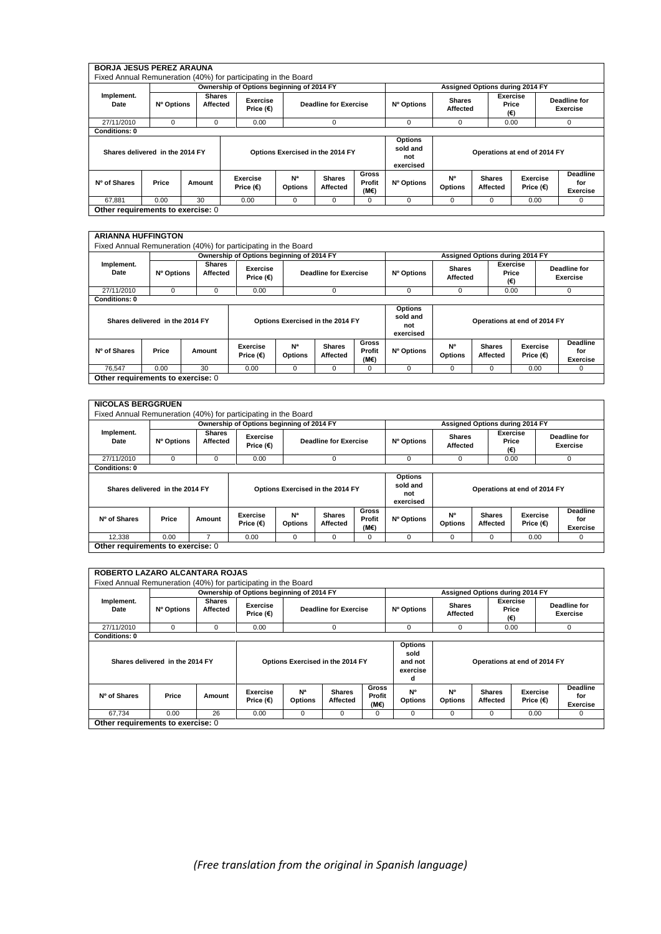|                                 |            |                           | Ownership of Options beginning of 2014 FY |                                  |                              |                         | Assigned Options during 2014 FY                |                           |                           |                              |                                           |  |
|---------------------------------|------------|---------------------------|-------------------------------------------|----------------------------------|------------------------------|-------------------------|------------------------------------------------|---------------------------|---------------------------|------------------------------|-------------------------------------------|--|
| Implement.<br>Date              | Nº Options | <b>Shares</b><br>Affected | Exercise<br>Price $(\epsilon)$            |                                  | <b>Deadline for Exercise</b> |                         | Nº Options                                     | <b>Shares</b><br>Affected | (€)                       | Exercise<br>Price            | <b>Deadline for</b><br><b>Exercise</b>    |  |
| 27/11/2010                      | 0          | 0                         | 0.00                                      |                                  | $\Omega$                     |                         | 0                                              | 0                         | 0.00                      |                              | 0                                         |  |
| <b>Conditions: 0</b>            |            |                           |                                           |                                  |                              |                         |                                                |                           |                           |                              |                                           |  |
| Shares delivered in the 2014 FY |            |                           |                                           | Options Exercised in the 2014 FY |                              |                         | <b>Options</b><br>sold and<br>not<br>exercised |                           |                           | Operations at end of 2014 FY |                                           |  |
| Nº of Shares                    | Price      | Amount                    | Exercise<br>Price (€)                     | N <sup>a</sup><br><b>Options</b> | <b>Shares</b><br>Affected    | Gross<br>Profit<br>(M€) | Nº Options                                     | N°<br><b>Options</b>      | <b>Shares</b><br>Affected | Exercise<br>Price (€)        | <b>Deadline</b><br>for<br><b>Exercise</b> |  |
| 67.881                          | 0.00       | 30                        | 0.00                                      | $\Omega$                         | $\Omega$                     | 0                       | 0                                              | 0                         | 0                         | 0.00                         | $\Omega$                                  |  |

#### **ARIANNA HUFFINGTON**

| ANABINA I IVI I INVITUR                                        |                                 |                    |                                           |                                         |                              |                         |                                                |                              |                                 |                                 |                                 |
|----------------------------------------------------------------|---------------------------------|--------------------|-------------------------------------------|-----------------------------------------|------------------------------|-------------------------|------------------------------------------------|------------------------------|---------------------------------|---------------------------------|---------------------------------|
| Fixed Annual Remuneration (40%) for participating in the Board |                                 |                    |                                           |                                         |                              |                         |                                                |                              |                                 |                                 |                                 |
|                                                                |                                 |                    | Ownership of Options beginning of 2014 FY |                                         |                              |                         |                                                |                              | Assigned Options during 2014 FY |                                 |                                 |
| Implement.<br>Date                                             | Nº Options                      | Shares<br>Affected | <b>Exercise</b><br>Price $(\epsilon)$     |                                         | <b>Deadline for Exercise</b> |                         | Nº Options                                     | <b>Shares</b><br>Affected    |                                 | <b>Exercise</b><br>Price<br>(€) | <b>Deadline for</b><br>Exercise |
| 27/11/2010                                                     | 0                               | 0                  | 0.00                                      |                                         | $\mathbf 0$                  |                         | 0                                              | 0                            |                                 | 0.00                            | 0                               |
| <b>Conditions: 0</b>                                           |                                 |                    |                                           |                                         |                              |                         |                                                |                              |                                 |                                 |                                 |
|                                                                | Shares delivered in the 2014 FY |                    |                                           | Options Exercised in the 2014 FY        |                              |                         | <b>Options</b><br>sold and<br>not<br>exercised | Operations at end of 2014 FY |                                 |                                 |                                 |
| Nº of Shares                                                   | Price                           | Amount             | Exercise<br>Price (€)                     | <b>N</b> <sup>a</sup><br><b>Options</b> | <b>Shares</b><br>Affected    | Gross<br>Profit<br>(M€) | Nº Options                                     | N°<br><b>Options</b>         | <b>Shares</b><br>Affected       | <b>Exercise</b><br>Price (€)    | Deadline<br>for<br>Exercise     |
| 76.547                                                         | 0.00                            | 30                 | 0.00                                      | 0                                       | $\Omega$                     | $\Omega$                | $\Omega$                                       | $\Omega$                     | $\Omega$                        | 0.00                            | 0                               |
| Other requirements to exercise: 0                              |                                 |                    |                                           |                                         |                              |                         |                                                |                              |                                 |                                 |                                 |

٦

|                      |                                 |                           | Ownership of Options beginning of 2014 FY |                                  |                              |                         |                                                |                           | Assigned Options during 2014 FY |                              |                                        |
|----------------------|---------------------------------|---------------------------|-------------------------------------------|----------------------------------|------------------------------|-------------------------|------------------------------------------------|---------------------------|---------------------------------|------------------------------|----------------------------------------|
| Implement.<br>Date   | Nº Options                      | <b>Shares</b><br>Affected | Exercise<br>Price $(\epsilon)$            |                                  | <b>Deadline for Exercise</b> |                         | Nº Options                                     | <b>Shares</b><br>Affected | (€)                             | <b>Exercise</b><br>Price     | <b>Deadline for</b><br><b>Exercise</b> |
| 27/11/2010           | 0                               | $\Omega$                  | 0.00                                      |                                  | $\Omega$                     |                         | 0                                              | $\Omega$                  | 0.00                            |                              | 0                                      |
| <b>Conditions: 0</b> |                                 |                           |                                           |                                  |                              |                         |                                                |                           |                                 |                              |                                        |
|                      | Shares delivered in the 2014 FY |                           |                                           | Options Exercised in the 2014 FY |                              |                         | <b>Options</b><br>sold and<br>not<br>exercised |                           |                                 | Operations at end of 2014 FY |                                        |
| Nº of Shares         | Price                           | Amount                    | Exercise<br>Price $(€)$                   | N <sup>a</sup><br><b>Options</b> | <b>Shares</b><br>Affected    | Gross<br>Profit<br>(M€) | Nº Options                                     | N°<br><b>Options</b>      | <b>Shares</b><br>Affected       | Exercise<br>Price (€)        | <b>Deadline</b><br>for<br>Exercise     |
|                      | 0.00                            | 7                         | 0.00                                      | 0                                | $\Omega$                     | $\Omega$                | 0                                              | $\Omega$                  | $\Omega$                        | 0.00                         | 0                                      |

|                      |                                 |                           |                                | Ownership of Options beginning of 2014 FY                               |                                  |                 |                                                    | Assigned Options during 2014 FY |                           |                                 |                 |  |
|----------------------|---------------------------------|---------------------------|--------------------------------|-------------------------------------------------------------------------|----------------------------------|-----------------|----------------------------------------------------|---------------------------------|---------------------------|---------------------------------|-----------------|--|
| Implement.<br>Date   | Nº Options                      | <b>Shares</b><br>Affected | Exercise<br>Price $(\epsilon)$ | <b>Shares</b><br><b>Deadline for Exercise</b><br>Nº Options<br>Affected |                                  |                 |                                                    | <b>Exercise</b><br>(€)          | Price                     | Deadline for<br><b>Exercise</b> |                 |  |
| 27/11/2010           | $\mathbf 0$                     | $\mathbf 0$               | 0.00                           | $\Omega$                                                                |                                  |                 | 0                                                  | 0                               | 0.00                      |                                 | $\mathbf 0$     |  |
| <b>Conditions: 0</b> |                                 |                           |                                |                                                                         |                                  |                 |                                                    |                                 |                           |                                 |                 |  |
|                      | Shares delivered in the 2014 FY |                           |                                |                                                                         | Options Exercised in the 2014 FY |                 | <b>Options</b><br>sold<br>and not<br>exercise<br>d |                                 |                           | Operations at end of 2014 FY    |                 |  |
| Nº of Shares         | Price                           | Amount                    | Exercise<br>Price $(\epsilon)$ | N <sup>a</sup><br><b>Options</b>                                        | <b>Shares</b><br>Affected        | Gross<br>Profit | N°<br><b>Options</b>                               | <b>N°</b><br><b>Options</b>     | <b>Shares</b><br>Affected | Exercise<br>Price $(\epsilon)$  | Deadline<br>for |  |
|                      |                                 |                           |                                |                                                                         |                                  | (ME)            |                                                    |                                 |                           |                                 | <b>Exercise</b> |  |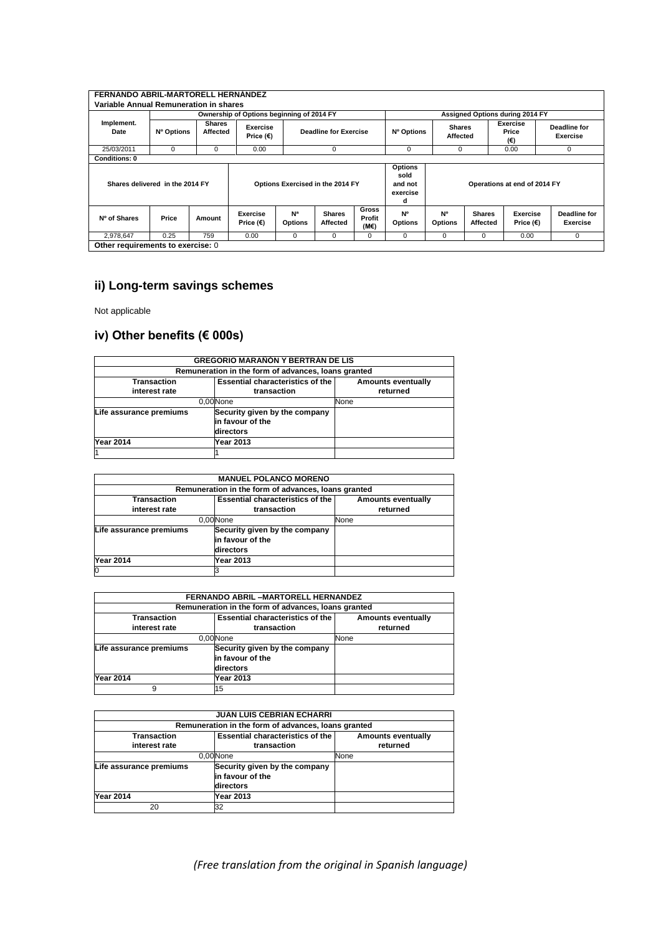| FERNANDO ABRIL-MARTORELL HERNÁNDEZ     |                                 |                           |                                           |                                  |                                  |                                |                                                    |                           |                           |                                 |                                 |
|----------------------------------------|---------------------------------|---------------------------|-------------------------------------------|----------------------------------|----------------------------------|--------------------------------|----------------------------------------------------|---------------------------|---------------------------|---------------------------------|---------------------------------|
| Variable Annual Remuneration in shares |                                 |                           |                                           |                                  |                                  |                                |                                                    |                           |                           |                                 |                                 |
|                                        |                                 |                           | Ownership of Options beginning of 2014 FY |                                  |                                  |                                |                                                    |                           |                           | Assigned Options during 2014 FY |                                 |
| Implement.<br>Date                     | Nº Options                      | <b>Shares</b><br>Affected | Exercise<br>Price $(\epsilon)$            |                                  | <b>Deadline for Exercise</b>     |                                | Nº Options                                         | <b>Shares</b><br>Affected |                           | Exercise<br>Price<br>(€)        | Deadline for<br><b>Exercise</b> |
| 25/03/2011                             | $\Omega$                        | $\Omega$                  | 0.00                                      |                                  | 0                                |                                | 0                                                  | 0                         |                           | 0.00                            | $\mathbf 0$                     |
| <b>Conditions: 0</b>                   |                                 |                           |                                           |                                  |                                  |                                |                                                    |                           |                           |                                 |                                 |
|                                        | Shares delivered in the 2014 FY |                           |                                           |                                  | Options Exercised in the 2014 FY |                                | <b>Options</b><br>sold<br>and not<br>exercise<br>d |                           |                           | Operations at end of 2014 FY    |                                 |
| Nº of Shares                           | Price                           | Amount                    | <b>Exercise</b><br>Price $(€)$            | N <sup>a</sup><br><b>Options</b> | <b>Shares</b><br>Affected        | <b>Gross</b><br>Profit<br>(M€) | <b>N°</b><br><b>Options</b>                        | N°<br><b>Options</b>      | <b>Shares</b><br>Affected | Exercise<br>Price $(€)$         | <b>Deadline for</b><br>Exercise |
| 2,978,647                              | 0.25                            | 759                       | 0.00                                      | 0                                | 0                                | $\Omega$                       | 0                                                  | $\Omega$                  | $\Omega$                  | 0.00                            | $\Omega$                        |
| Other requirements to exercise: 0      |                                 |                           |                                           |                                  |                                  |                                |                                                    |                           |                           |                                 |                                 |

# **ii) Long-term savings schemes**

Not applicable

# **iv) Other benefits (€ 000s)**

|                         | <b>GREGORIO MARAÑÓN Y BERTRÁN DE LIS</b>            |                           |
|-------------------------|-----------------------------------------------------|---------------------------|
|                         | Remuneration in the form of advances, loans granted |                           |
| Transaction             | <b>Essential characteristics of the</b>             | <b>Amounts eventually</b> |
| interest rate           | transaction                                         | returned                  |
|                         | 0.00 None                                           | None                      |
| Life assurance premiums | Security given by the company                       |                           |
|                         | in favour of the                                    |                           |
|                         | directors                                           |                           |
| <b>Year 2014</b>        | Year 2013                                           |                           |
|                         |                                                     |                           |

|                         | <b>MANUEL POLANCO MORENO</b>                        |                           |
|-------------------------|-----------------------------------------------------|---------------------------|
|                         | Remuneration in the form of advances, loans granted |                           |
| Transaction             | <b>Essential characteristics of the</b>             | <b>Amounts eventually</b> |
| interest rate           | transaction                                         | returned                  |
|                         | 0.00 None                                           | None                      |
| Life assurance premiums | Security given by the company                       |                           |
|                         | in favour of the                                    |                           |
|                         | directors                                           |                           |
| <b>Year 2014</b>        | Year 2013                                           |                           |
| 0                       |                                                     |                           |

|                         | FERNANDO ABRIL - MARTORELL HERNANDEZ                |                           |  |  |  |  |  |  |  |
|-------------------------|-----------------------------------------------------|---------------------------|--|--|--|--|--|--|--|
|                         | Remuneration in the form of advances, loans granted |                           |  |  |  |  |  |  |  |
| <b>Transaction</b>      | <b>Essential characteristics of the</b>             | <b>Amounts eventually</b> |  |  |  |  |  |  |  |
| interest rate           | transaction                                         | returned                  |  |  |  |  |  |  |  |
|                         | 0.00 None                                           | None                      |  |  |  |  |  |  |  |
| Life assurance premiums | Security given by the company                       |                           |  |  |  |  |  |  |  |
|                         | in favour of the                                    |                           |  |  |  |  |  |  |  |
|                         | directors                                           |                           |  |  |  |  |  |  |  |
| <b>Year 2014</b>        | Year 2013                                           |                           |  |  |  |  |  |  |  |
| 9                       | 15                                                  |                           |  |  |  |  |  |  |  |

|                         | <b>JUAN LUIS CEBRIAN ECHARRI</b>                    |                           |  |  |  |  |  |  |  |
|-------------------------|-----------------------------------------------------|---------------------------|--|--|--|--|--|--|--|
|                         | Remuneration in the form of advances, loans granted |                           |  |  |  |  |  |  |  |
| <b>Transaction</b>      | <b>Essential characteristics of the</b>             | <b>Amounts eventually</b> |  |  |  |  |  |  |  |
| interest rate           | transaction                                         | returned                  |  |  |  |  |  |  |  |
|                         | 0.00 None                                           | None                      |  |  |  |  |  |  |  |
| Life assurance premiums | Security given by the company                       |                           |  |  |  |  |  |  |  |
|                         | in favour of the                                    |                           |  |  |  |  |  |  |  |
|                         | directors                                           |                           |  |  |  |  |  |  |  |
| <b>Year 2014</b>        | Year 2013                                           |                           |  |  |  |  |  |  |  |
| 20                      | 32                                                  |                           |  |  |  |  |  |  |  |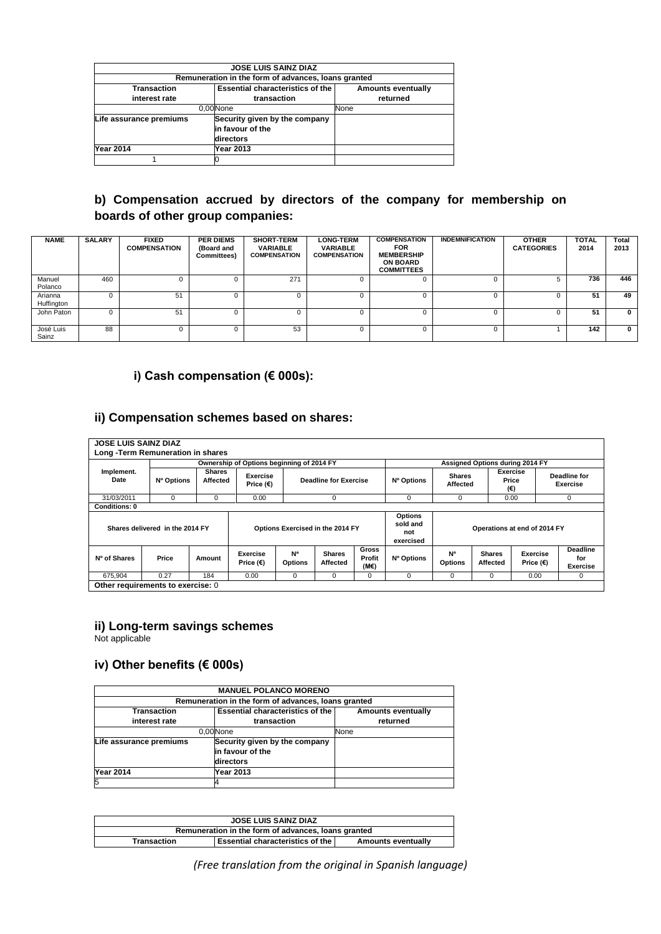|                         | <b>JOSE LUIS SAINZ DIAZ</b>                         |                           |  |  |  |  |  |  |
|-------------------------|-----------------------------------------------------|---------------------------|--|--|--|--|--|--|
|                         | Remuneration in the form of advances, loans granted |                           |  |  |  |  |  |  |
| <b>Transaction</b>      | <b>Essential characteristics of the</b>             | <b>Amounts eventually</b> |  |  |  |  |  |  |
| interest rate           | transaction                                         | returned                  |  |  |  |  |  |  |
|                         | 0.00 None                                           | None                      |  |  |  |  |  |  |
| Life assurance premiums | Security given by the company                       |                           |  |  |  |  |  |  |
|                         | in favour of the                                    |                           |  |  |  |  |  |  |
|                         | directors                                           |                           |  |  |  |  |  |  |
| <b>Year 2014</b>        | Year 2013                                           |                           |  |  |  |  |  |  |
|                         |                                                     |                           |  |  |  |  |  |  |

# **b) Compensation accrued by directors of the company for membership on boards of other group companies:**

| <b>NAME</b>           | <b>SALARY</b> | <b>FIXED</b><br><b>COMPENSATION</b> | <b>PER DIEMS</b><br>(Board and<br>Committees) | <b>SHORT-TERM</b><br><b>VARIABLE</b><br><b>COMPENSATION</b> | <b>LONG-TERM</b><br><b>VARIABLE</b><br><b>COMPENSATION</b> | <b>COMPENSATION</b><br><b>FOR</b><br><b>MEMBERSHIP</b><br><b>ON BOARD</b><br><b>COMMITTEES</b> | <b>INDEMNIFICATION</b> | <b>OTHER</b><br><b>CATEGORIES</b> | <b>TOTAL</b><br>2014 | Total<br>2013 |
|-----------------------|---------------|-------------------------------------|-----------------------------------------------|-------------------------------------------------------------|------------------------------------------------------------|------------------------------------------------------------------------------------------------|------------------------|-----------------------------------|----------------------|---------------|
| Manuel<br>Polanco     | 460           | $\Omega$                            |                                               | 271                                                         |                                                            |                                                                                                |                        |                                   | 736                  | 446           |
| Arianna<br>Huffington |               | 51                                  |                                               |                                                             |                                                            |                                                                                                |                        |                                   | 51                   | 49            |
| John Paton            |               | 51                                  |                                               |                                                             |                                                            |                                                                                                | n                      |                                   | 51                   | $\bf{0}$      |
| José Luis<br>Sainz    | 88            | $^{(1)}$                            | 0                                             | 53                                                          |                                                            | $\mathbf{U}$                                                                                   | $^{\circ}$             |                                   | 142                  | 0             |

# **i) Cash compensation (€ 000s):**

### **ii) Compensation schemes based on shares:**

|                      |                                 |                           | Ownership of Options beginning of 2014 FY |                                  |                              |                         |                                                |                             | Assigned Options during 2014 FY |                              |                                           |
|----------------------|---------------------------------|---------------------------|-------------------------------------------|----------------------------------|------------------------------|-------------------------|------------------------------------------------|-----------------------------|---------------------------------|------------------------------|-------------------------------------------|
| Implement.<br>Date   | Nº Options                      | <b>Shares</b><br>Affected | Exercise<br>Price $(E)$                   |                                  | <b>Deadline for Exercise</b> |                         | Nº Options                                     | <b>Shares</b><br>Affected   | (€)                             | <b>Exercise</b><br>Price     | <b>Deadline for</b><br><b>Exercise</b>    |
| 31/03/2011           | $\Omega$                        | $\mathbf 0$               | 0.00                                      |                                  | $\Omega$                     |                         | 0                                              | 0                           |                                 | 0.00                         | $\mathbf 0$                               |
| <b>Conditions: 0</b> |                                 |                           |                                           |                                  |                              |                         |                                                |                             |                                 |                              |                                           |
|                      | Shares delivered in the 2014 FY |                           |                                           | Options Exercised in the 2014 FY |                              |                         | <b>Options</b><br>sold and<br>not<br>exercised |                             |                                 | Operations at end of 2014 FY |                                           |
| Nº of Shares         | Price                           | Amount                    | <b>Exercise</b><br>Price $(€)$            | N <sup>a</sup><br><b>Options</b> | <b>Shares</b><br>Affected    | Gross<br>Profit<br>(M€) | Nº Options                                     | <b>N°</b><br><b>Options</b> | <b>Shares</b><br>Affected       | Exercise<br>Price $(€)$      | <b>Deadline</b><br>for<br><b>Exercise</b> |
| 675,904              | 0.27                            | 184                       | 0.00                                      | 0                                | 0                            | 0                       | 0                                              | $\Omega$                    | $\Omega$                        | 0.00                         | 0                                         |

### **ii) Long-term savings schemes**

Not applicable

# **iv) Other benefits (€ 000s)**

|                         | <b>MANUEL POLANCO MORENO</b>                        |                           |  |  |  |  |  |  |  |
|-------------------------|-----------------------------------------------------|---------------------------|--|--|--|--|--|--|--|
|                         | Remuneration in the form of advances, loans granted |                           |  |  |  |  |  |  |  |
| <b>Transaction</b>      | <b>Essential characteristics of the</b>             | <b>Amounts eventually</b> |  |  |  |  |  |  |  |
| interest rate           | transaction                                         | returned                  |  |  |  |  |  |  |  |
|                         | 0.00 None                                           | None                      |  |  |  |  |  |  |  |
| Life assurance premiums | Security given by the company                       |                           |  |  |  |  |  |  |  |
|                         | in favour of the                                    |                           |  |  |  |  |  |  |  |
|                         | directors                                           |                           |  |  |  |  |  |  |  |
| <b>Year 2014</b>        | Year 2013                                           |                           |  |  |  |  |  |  |  |
|                         |                                                     |                           |  |  |  |  |  |  |  |

|                                                                                | <b>JOSE LUIS SAINZ DIAZ</b> |  |  |  |  |  |  |
|--------------------------------------------------------------------------------|-----------------------------|--|--|--|--|--|--|
| Remuneration in the form of advances, loans granted                            |                             |  |  |  |  |  |  |
| <b>Essential characteristics of the I</b><br>Amounts eventually<br>Transaction |                             |  |  |  |  |  |  |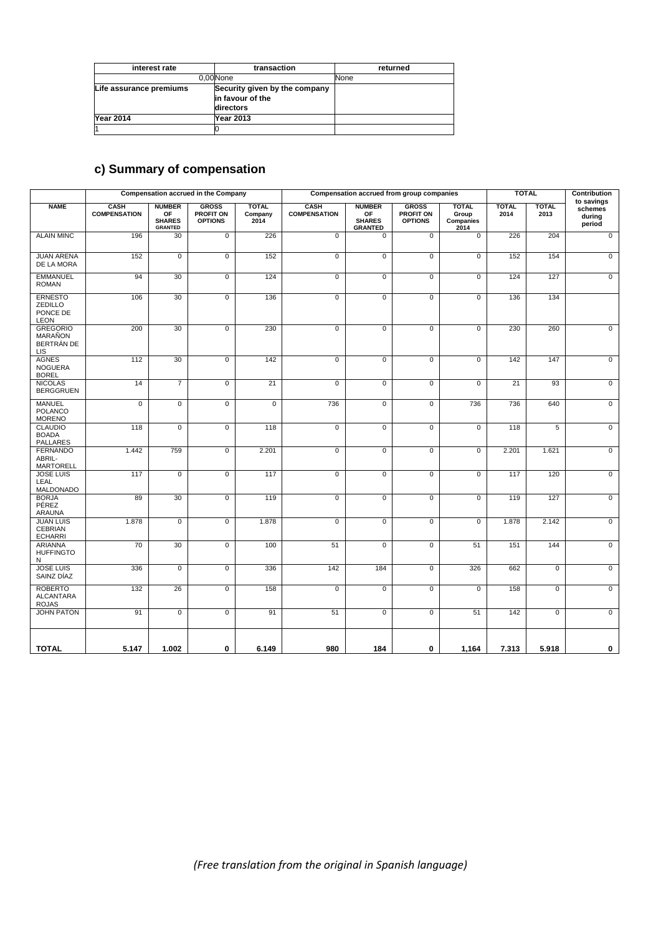| interest rate           | transaction                                                    | returned |  |  |
|-------------------------|----------------------------------------------------------------|----------|--|--|
|                         | 0.00 None                                                      | None     |  |  |
| Life assurance premiums | Security given by the company<br>in favour of the<br>directors |          |  |  |
| <b>Year 2014</b>        | Year 2013                                                      |          |  |  |
|                         |                                                                |          |  |  |

# **c) Summary of compensation**

|                                                             | <b>Compensation accrued in the Company</b><br>Compensation accrued from group companies |                                                        |                                                    | <b>TOTAL</b>                    |                             | Contribution<br>to savings                             |                                             |                                            |                      |                      |                             |
|-------------------------------------------------------------|-----------------------------------------------------------------------------------------|--------------------------------------------------------|----------------------------------------------------|---------------------------------|-----------------------------|--------------------------------------------------------|---------------------------------------------|--------------------------------------------|----------------------|----------------------|-----------------------------|
| <b>NAME</b>                                                 | <b>CASH</b><br><b>COMPENSATION</b>                                                      | <b>NUMBER</b><br>OF<br><b>SHARES</b><br><b>GRANTED</b> | <b>GROSS</b><br><b>PROFIT ON</b><br><b>OPTIONS</b> | <b>TOTAL</b><br>Company<br>2014 | CASH<br><b>COMPENSATION</b> | <b>NUMBER</b><br>OF<br><b>SHARES</b><br><b>GRANTED</b> | <b>GROSS</b><br>PROFIT ON<br><b>OPTIONS</b> | <b>TOTAL</b><br>Group<br>Companies<br>2014 | <b>TOTAL</b><br>2014 | <b>TOTAL</b><br>2013 | schemes<br>during<br>period |
| <b>ALAIN MINC</b>                                           | 196                                                                                     | 30                                                     | $\overline{0}$                                     | 226                             | $\overline{0}$              | $\mathbf 0$                                            | $\overline{0}$                              | $\overline{0}$                             | 226                  | 204                  | $\overline{0}$              |
| <b>JUAN ARENA</b><br>DE LA MORA                             | 152                                                                                     | 0                                                      | $\mathbf 0$                                        | 152                             | $\mathbf 0$                 | $\mathbf 0$                                            | $\mathbf 0$                                 | $\mathbf 0$                                | 152                  | 154                  | $\mathbf 0$                 |
| <b>EMMANUEL</b><br><b>ROMAN</b>                             | 94                                                                                      | 30                                                     | $\mathbf 0$                                        | 124                             | $\mathbf 0$                 | $\mathbf 0$                                            | $\mathbf 0$                                 | $\mathbf 0$                                | 124                  | 127                  | $\mathbf 0$                 |
| <b>ERNESTO</b><br><b>ZEDILLO</b><br>PONCE DE<br><b>LEON</b> | 106                                                                                     | 30                                                     | $\overline{0}$                                     | 136                             | $\overline{0}$              | $\overline{0}$                                         | $\overline{0}$                              | $\overline{0}$                             | 136                  | 134                  |                             |
| <b>GREGORIO</b><br><b>MARAÑON</b><br>BERTRAN DE<br>LIS      | 200                                                                                     | 30                                                     | $\overline{0}$                                     | 230                             | 0                           | $\overline{0}$                                         | $\overline{0}$                              | $\mathbf 0$                                | 230                  | 260                  | 0                           |
| <b>AGNES</b><br><b>NOGUERA</b><br><b>BOREL</b>              | 112                                                                                     | 30                                                     | $\overline{0}$                                     | 142                             | $\overline{0}$              | $\overline{0}$                                         | $\overline{0}$                              | $\overline{0}$                             | 142                  | 147                  | $\mathbf 0$                 |
| <b>NICOLAS</b><br><b>BERGGRUEN</b>                          | 14                                                                                      | $\overline{7}$                                         | $\mathbf 0$                                        | 21                              | $\mathbf 0$                 | $\mathbf 0$                                            | $\mathbf 0$                                 | $\mathbf 0$                                | 21                   | 93                   | $\mathbf 0$                 |
| <b>MANUEL</b><br><b>POLANCO</b><br><b>MORENO</b>            | 0                                                                                       | 0                                                      | $\mathbf 0$                                        | 0                               | 736                         | $\mathbf 0$                                            | $\mathbf 0$                                 | 736                                        | 736                  | 640                  | 0                           |
| <b>CLAUDIO</b><br><b>BOADA</b><br><b>PALLARES</b>           | 118                                                                                     | $\overline{0}$                                         | $\overline{0}$                                     | 118                             | $\overline{0}$              | $\overline{0}$                                         | $\overline{0}$                              | $\overline{0}$                             | 118                  | 5                    | $\overline{0}$              |
| <b>FERNANDO</b><br>ABRIL-<br><b>MARTORELL</b>               | 1.442                                                                                   | 759                                                    | $\pmb{0}$                                          | 2.201                           | $\pmb{0}$                   | $\mathbf 0$                                            | $\pmb{0}$                                   | $\mathbf 0$                                | 2.201                | 1.621                | $\pmb{0}$                   |
| <b>JOSE LUIS</b><br>LEAL<br>MALDONADO                       | 117                                                                                     | 0                                                      | $\mathbf 0$                                        | 117                             | $\mathbf 0$                 | $\mathbf 0$                                            | $\mathbf 0$                                 | $\mathbf 0$                                | 117                  | 120                  | $\mathbf 0$                 |
| <b>BORJA</b><br>PÉREZ<br><b>ARAUNA</b>                      | 89                                                                                      | 30                                                     | $\mathbf 0$                                        | 119                             | $\overline{0}$              | $\mathbf 0$                                            | $\mathbf 0$                                 | $\mathbf 0$                                | 119                  | 127                  | $\mathbf 0$                 |
| <b>JUAN LUIS</b><br><b>CEBRIAN</b><br><b>ECHARRI</b>        | 1.878                                                                                   | 0                                                      | $\mathbf 0$                                        | 1.878                           | 0                           | $\mathbf 0$                                            | 0                                           | $\mathbf 0$                                | 1.878                | 2.142                | $\mathsf 0$                 |
| <b>ARIANNA</b><br><b>HUFFINGTO</b><br>N                     | 70                                                                                      | 30                                                     | $\overline{0}$                                     | 100                             | 51                          | $\overline{0}$                                         | $\overline{0}$                              | 51                                         | 151                  | 144                  | $\overline{0}$              |
| <b>JOSE LUIS</b><br>SAINZ DÍAZ                              | 336                                                                                     | $\overline{0}$                                         | $\overline{0}$                                     | 336                             | 142                         | 184                                                    | $\overline{0}$                              | 326                                        | 662                  | $\mathbf 0$          | $\overline{0}$              |
| <b>ROBERTO</b><br><b>ALCANTARA</b><br><b>ROJAS</b>          | 132                                                                                     | 26                                                     | $\mathbf 0$                                        | 158                             | $\overline{0}$              | $\mathbf 0$                                            | $\mathbf 0$                                 | $\mathbf 0$                                | 158                  | $\mathbf 0$          | 0                           |
| <b>JOHN PATON</b>                                           | 91                                                                                      | $\overline{0}$                                         | $\overline{0}$                                     | 91                              | 51                          | $\overline{0}$                                         | $\overline{0}$                              | 51                                         | 142                  | $\overline{0}$       | $\overline{0}$              |
| <b>TOTAL</b>                                                | 5.147                                                                                   | 1.002                                                  | 0                                                  | 6.149                           | 980                         | 184                                                    | 0                                           | 1,164                                      | 7.313                | 5.918                | 0                           |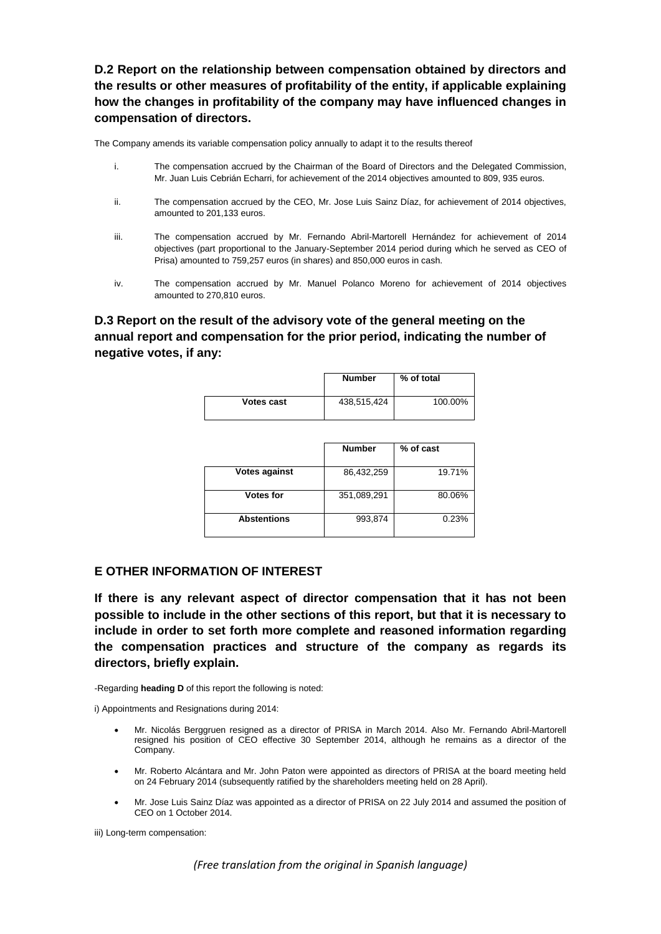**D.2 Report on the relationship between compensation obtained by directors and the results or other measures of profitability of the entity, if applicable explaining how the changes in profitability of the company may have influenced changes in compensation of directors.** 

The Company amends its variable compensation policy annually to adapt it to the results thereof

- i. The compensation accrued by the Chairman of the Board of Directors and the Delegated Commission, Mr. Juan Luis Cebrián Echarri, for achievement of the 2014 objectives amounted to 809, 935 euros.
- ii. The compensation accrued by the CEO, Mr. Jose Luis Sainz Díaz, for achievement of 2014 objectives, amounted to 201,133 euros.
- iii. The compensation accrued by Mr. Fernando Abril-Martorell Hernández for achievement of 2014 objectives (part proportional to the January-September 2014 period during which he served as CEO of Prisa) amounted to 759,257 euros (in shares) and 850,000 euros in cash.
- iv. The compensation accrued by Mr. Manuel Polanco Moreno for achievement of 2014 objectives amounted to 270,810 euros.

**D.3 Report on the result of the advisory vote of the general meeting on the annual report and compensation for the prior period, indicating the number of negative votes, if any:** 

|                   | <b>Number</b><br>% of total |         |
|-------------------|-----------------------------|---------|
| <b>Votes cast</b> | 438,515,424                 | 100.00% |

|                      | <b>Number</b> | % of cast |
|----------------------|---------------|-----------|
| <b>Votes against</b> | 86,432,259    | 19.71%    |
| Votes for            | 351,089,291   | 80.06%    |
| <b>Abstentions</b>   | 993,874       | 0.23%     |

#### **E OTHER INFORMATION OF INTEREST**

**If there is any relevant aspect of director compensation that it has not been possible to include in the other sections of this report, but that it is necessary to include in order to set forth more complete and reasoned information regarding the compensation practices and structure of the company as regards its directors, briefly explain.** 

-Regarding **heading D** of this report the following is noted:

i) Appointments and Resignations during 2014:

- Mr. Nicolás Berggruen resigned as a director of PRISA in March 2014. Also Mr. Fernando Abril-Martorell resigned his position of CEO effective 30 September 2014, although he remains as a director of the Company.
- Mr. Roberto Alcántara and Mr. John Paton were appointed as directors of PRISA at the board meeting held on 24 February 2014 (subsequently ratified by the shareholders meeting held on 28 April).
- Mr. Jose Luis Sainz Díaz was appointed as a director of PRISA on 22 July 2014 and assumed the position of CEO on 1 October 2014.

iii) Long-term compensation: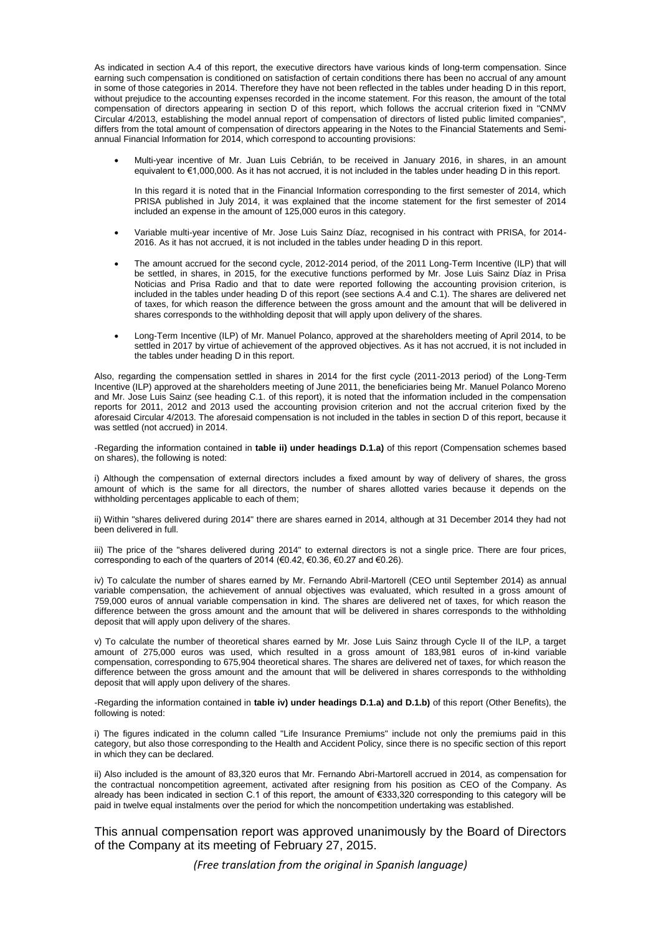As indicated in section A.4 of this report, the executive directors have various kinds of long-term compensation. Since earning such compensation is conditioned on satisfaction of certain conditions there has been no accrual of any amount in some of those categories in 2014. Therefore they have not been reflected in the tables under heading D in this report, without prejudice to the accounting expenses recorded in the income statement. For this reason, the amount of the total compensation of directors appearing in section D of this report, which follows the accrual criterion fixed in "CNMV Circular 4/2013, establishing the model annual report of compensation of directors of listed public limited companies", differs from the total amount of compensation of directors appearing in the Notes to the Financial Statements and Semiannual Financial Information for 2014, which correspond to accounting provisions:

 Multi-year incentive of Mr. Juan Luis Cebrián, to be received in January 2016, in shares, in an amount equivalent to €1,000,000. As it has not accrued, it is not included in the tables under heading D in this report.

In this regard it is noted that in the Financial Information corresponding to the first semester of 2014, which PRISA published in July 2014, it was explained that the income statement for the first semester of 2014 included an expense in the amount of 125,000 euros in this category.

- Variable multi-year incentive of Mr. Jose Luis Sainz Díaz, recognised in his contract with PRISA, for 2014- 2016. As it has not accrued, it is not included in the tables under heading D in this report.
- The amount accrued for the second cycle, 2012-2014 period, of the 2011 Long-Term Incentive (ILP) that will be settled, in shares, in 2015, for the executive functions performed by Mr. Jose Luis Sainz Díaz in Prisa Noticias and Prisa Radio and that to date were reported following the accounting provision criterion, is included in the tables under heading D of this report (see sections A.4 and C.1). The shares are delivered net of taxes, for which reason the difference between the gross amount and the amount that will be delivered in shares corresponds to the withholding deposit that will apply upon delivery of the shares.
- Long-Term Incentive (ILP) of Mr. Manuel Polanco, approved at the shareholders meeting of April 2014, to be settled in 2017 by virtue of achievement of the approved objectives. As it has not accrued, it is not included in the tables under heading D in this report.

Also, regarding the compensation settled in shares in 2014 for the first cycle (2011-2013 period) of the Long-Term Incentive (ILP) approved at the shareholders meeting of June 2011, the beneficiaries being Mr. Manuel Polanco Moreno and Mr. Jose Luis Sainz (see heading C.1. of this report), it is noted that the information included in the compensation reports for 2011, 2012 and 2013 used the accounting provision criterion and not the accrual criterion fixed by the aforesaid Circular 4/2013. The aforesaid compensation is not included in the tables in section D of this report, because it was settled (not accrued) in 2014.

-Regarding the information contained in **table ii) under headings D.1.a)** of this report (Compensation schemes based on shares), the following is noted:

i) Although the compensation of external directors includes a fixed amount by way of delivery of shares, the gross amount of which is the same for all directors, the number of shares allotted varies because it depends on the withholding percentages applicable to each of them;

ii) Within "shares delivered during 2014" there are shares earned in 2014, although at 31 December 2014 they had not been delivered in full.

iii) The price of the "shares delivered during 2014" to external directors is not a single price. There are four prices, corresponding to each of the quarters of 2014 (€0.42, €0.36, €0.27 and €0.26).

iv) To calculate the number of shares earned by Mr. Fernando Abril-Martorell (CEO until September 2014) as annual variable compensation, the achievement of annual objectives was evaluated, which resulted in a gross amount of 759,000 euros of annual variable compensation in kind. The shares are delivered net of taxes, for which reason the difference between the gross amount and the amount that will be delivered in shares corresponds to the withholding deposit that will apply upon delivery of the shares.

v) To calculate the number of theoretical shares earned by Mr. Jose Luis Sainz through Cycle II of the ILP, a target amount of 275,000 euros was used, which resulted in a gross amount of 183,981 euros of in-kind variable compensation, corresponding to 675,904 theoretical shares. The shares are delivered net of taxes, for which reason the difference between the gross amount and the amount that will be delivered in shares corresponds to the withholding deposit that will apply upon delivery of the shares.

-Regarding the information contained in **table iv) under headings D.1.a) and D.1.b)** of this report (Other Benefits), the following is noted:

i) The figures indicated in the column called "Life Insurance Premiums" include not only the premiums paid in this category, but also those corresponding to the Health and Accident Policy, since there is no specific section of this report in which they can be declared.

ii) Also included is the amount of 83,320 euros that Mr. Fernando Abri-Martorell accrued in 2014, as compensation for the contractual noncompetition agreement, activated after resigning from his position as CEO of the Company. As already has been indicated in section C.1 of this report, the amount of €333,320 corresponding to this category will be paid in twelve equal instalments over the period for which the noncompetition undertaking was established.

This annual compensation report was approved unanimously by the Board of Directors of the Company at its meeting of February 27, 2015.